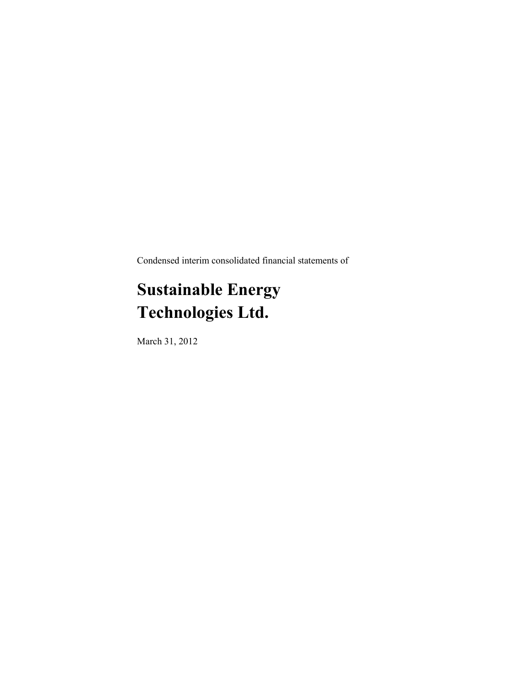Condensed interim consolidated financial statements of

# **Sustainable Energy Technologies Ltd.**

March 31, 2012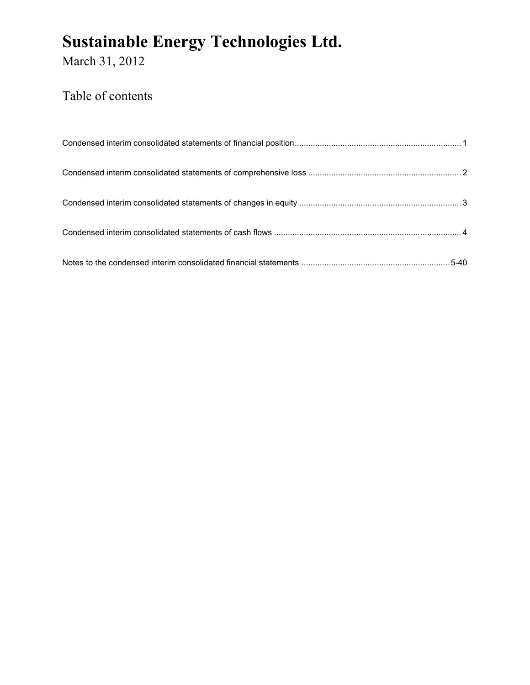March 31, 2012

### Table of contents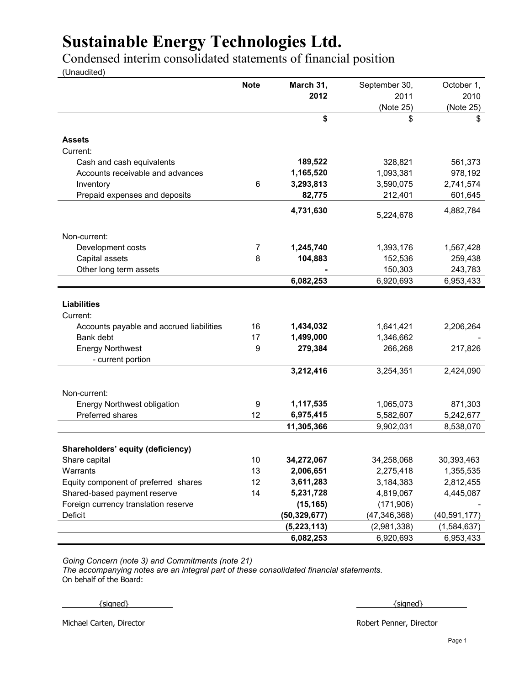Condensed interim consolidated statements of financial position

(Unaudited)

|                                          | <b>Note</b> | March 31,               | September 30,           | October 1,              |
|------------------------------------------|-------------|-------------------------|-------------------------|-------------------------|
|                                          |             | 2012                    | 2011                    | 2010                    |
|                                          |             |                         | (Note 25)               | (Note 25)               |
|                                          |             | \$                      | \$                      | \$                      |
| <b>Assets</b>                            |             |                         |                         |                         |
| Current:                                 |             |                         |                         |                         |
| Cash and cash equivalents                |             | 189,522                 | 328,821                 | 561,373                 |
| Accounts receivable and advances         |             | 1,165,520               | 1,093,381               | 978,192                 |
| Inventory                                | 6           | 3,293,813               | 3,590,075               | 2,741,574               |
| Prepaid expenses and deposits            |             | 82,775                  | 212,401                 | 601,645                 |
|                                          |             | 4,731,630               | 5,224,678               | 4,882,784               |
| Non-current:                             |             |                         |                         |                         |
| Development costs                        | 7           | 1,245,740               | 1,393,176               | 1,567,428               |
| Capital assets                           | 8           | 104,883                 | 152,536                 | 259,438                 |
| Other long term assets                   |             |                         | 150,303                 | 243,783                 |
|                                          |             | 6,082,253               | 6,920,693               | 6,953,433               |
|                                          |             |                         |                         |                         |
| <b>Liabilities</b>                       |             |                         |                         |                         |
| Current:                                 |             |                         |                         |                         |
| Accounts payable and accrued liabilities | 16          | 1,434,032               | 1,641,421               | 2,206,264               |
| Bank debt                                | 17          | 1,499,000               | 1,346,662               |                         |
| <b>Energy Northwest</b>                  | 9           | 279,384                 | 266,268                 | 217,826                 |
| - current portion                        |             |                         |                         |                         |
|                                          |             | 3,212,416               | 3,254,351               | 2,424,090               |
| Non-current:                             |             |                         |                         |                         |
| <b>Energy Northwest obligation</b>       | 9           | 1,117,535               | 1,065,073               | 871,303                 |
| Preferred shares                         | 12          | 6,975,415               | 5,582,607               | 5,242,677               |
|                                          |             | 11,305,366              | 9,902,031               | 8,538,070               |
|                                          |             |                         |                         |                         |
| Shareholders' equity (deficiency)        |             |                         |                         |                         |
| Share capital                            | 10          | 34,272,067<br>2,006,651 | 34,258,068<br>2,275,418 | 30,393,463<br>1,355,535 |
| Warrants                                 | 13<br>12    |                         |                         |                         |
| Equity component of preferred shares     |             | 3,611,283               | 3,184,383               | 2,812,455               |
| Shared-based payment reserve             | 14          | 5,231,728               | 4,819,067               | 4,445,087               |
| Foreign currency translation reserve     |             | (15, 165)               | (171,906)               |                         |
| Deficit                                  |             | (50, 329, 677)          | (47, 346, 368)          | (40, 591, 177)          |
|                                          |             | (5, 223, 113)           | (2,981,338)             | (1,584,637)             |
|                                          |             | 6,082,253               | 6,920,693               | 6,953,433               |

*Going Concern (note 3) and Commitments (note 21)*

*The accompanying notes are an integral part of these consolidated financial statements.* On behalf of the Board:

 $\{ \text{signed} \}$  and  $\{ \text{signed} \}$ 

Michael Carten, Director **Robert Penner, Director** Robert Penner, Director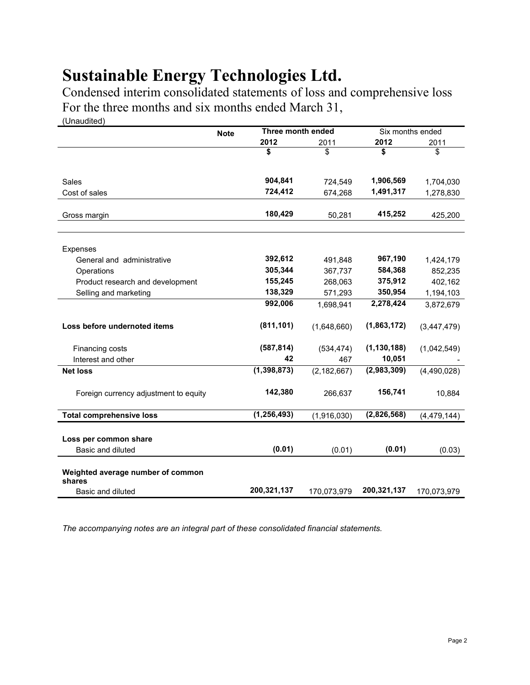Condensed interim consolidated statements of loss and comprehensive loss For the three months and six months ended March 31, (Unaudited)

|                                             | <b>Note</b> | Three month ended |               |               | Six months ended |
|---------------------------------------------|-------------|-------------------|---------------|---------------|------------------|
|                                             |             | 2012              | 2011          | 2012          | 2011             |
|                                             |             | \$                | \$            | \$            | \$               |
| <b>Sales</b>                                |             | 904,841           | 724,549       | 1,906,569     | 1,704,030        |
| Cost of sales                               |             | 724,412           | 674,268       | 1,491,317     | 1,278,830        |
| Gross margin                                |             | 180,429           | 50,281        | 415,252       | 425,200          |
| Expenses                                    |             |                   |               |               |                  |
| General and administrative                  |             | 392,612           | 491,848       | 967,190       | 1,424,179        |
| Operations                                  |             | 305,344           | 367,737       | 584,368       | 852,235          |
| Product research and development            |             | 155,245           | 268,063       | 375,912       | 402,162          |
| Selling and marketing                       |             | 138,329           | 571,293       | 350,954       | 1,194,103        |
|                                             |             | 992,006           | 1,698,941     | 2,278,424     | 3,872,679        |
| Loss before undernoted items                |             | (811, 101)        | (1,648,660)   | (1,863,172)   | (3,447,479)      |
| Financing costs                             |             | (587, 814)        | (534, 474)    | (1, 130, 188) | (1,042,549)      |
| Interest and other                          |             | 42                | 467           | 10,051        |                  |
| <b>Net loss</b>                             |             | (1, 398, 873)     | (2, 182, 667) | (2,983,309)   | (4,490,028)      |
| Foreign currency adjustment to equity       |             | 142,380           | 266,637       | 156,741       | 10,884           |
| <b>Total comprehensive loss</b>             |             | (1, 256, 493)     | (1,916,030)   | (2,826,568)   | (4, 479, 144)    |
|                                             |             |                   |               |               |                  |
| Loss per common share                       |             |                   |               |               |                  |
| Basic and diluted                           |             | (0.01)            | (0.01)        | (0.01)        | (0.03)           |
| Weighted average number of common<br>shares |             |                   |               |               |                  |
| Basic and diluted                           |             | 200,321,137       | 170,073,979   | 200,321,137   | 170,073,979      |

*The accompanying notes are an integral part of these consolidated financial statements.*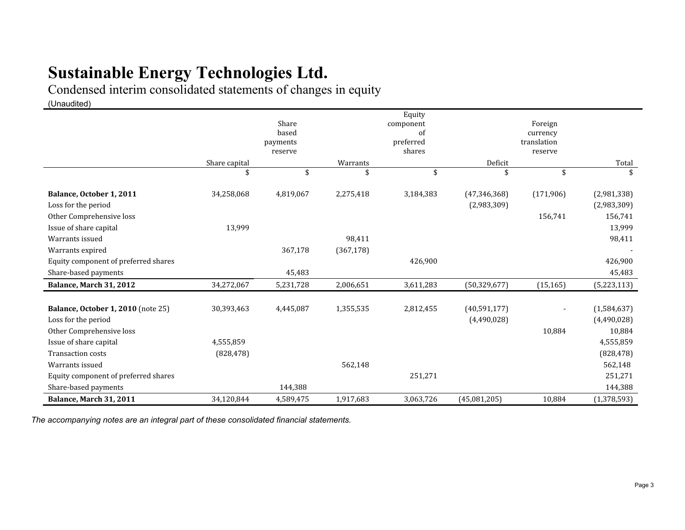Condensed interim consolidated statements of changes in equity

(Unaudited)

|                                           |               |                     |            | Equity               |                |                        |             |  |
|-------------------------------------------|---------------|---------------------|------------|----------------------|----------------|------------------------|-------------|--|
|                                           | Share         |                     |            | Foreign<br>component |                |                        |             |  |
|                                           |               | based               |            |                      | of<br>currency |                        |             |  |
|                                           |               | payments<br>reserve |            | preferred<br>shares  |                | translation<br>reserve |             |  |
|                                           | Share capital |                     | Warrants   |                      | Deficit        |                        | Total       |  |
|                                           | \$            | \$                  |            | \$                   |                | \$                     |             |  |
|                                           |               |                     |            |                      |                |                        |             |  |
| Balance, October 1, 2011                  | 34,258,068    | 4,819,067           | 2,275,418  | 3,184,383            | (47, 346, 368) | (171,906)              | (2,981,338) |  |
| Loss for the period                       |               |                     |            |                      | (2,983,309)    |                        | (2,983,309) |  |
| Other Comprehensive loss                  |               |                     |            |                      |                | 156,741                | 156,741     |  |
| Issue of share capital                    | 13,999        |                     |            |                      |                |                        | 13,999      |  |
| Warrants issued                           |               |                     | 98,411     |                      |                |                        | 98,411      |  |
| Warrants expired                          |               | 367,178             | (367, 178) |                      |                |                        |             |  |
| Equity component of preferred shares      |               |                     |            | 426,900              |                |                        | 426,900     |  |
| Share-based payments                      |               | 45,483              |            |                      |                |                        | 45,483      |  |
| Balance, March 31, 2012                   | 34,272,067    | 5,231,728           | 2,006,651  | 3,611,283            | (50, 329, 677) | (15, 165)              | (5,223,113) |  |
|                                           |               |                     |            |                      |                |                        |             |  |
| <b>Balance, October 1, 2010</b> (note 25) | 30,393,463    | 4,445,087           | 1,355,535  | 2,812,455            | (40,591,177)   |                        | (1,584,637) |  |
| Loss for the period                       |               |                     |            |                      | (4,490,028)    |                        | (4,490,028) |  |
| Other Comprehensive loss                  |               |                     |            |                      |                | 10,884                 | 10,884      |  |
| Issue of share capital                    | 4,555,859     |                     |            |                      |                |                        | 4,555,859   |  |
| <b>Transaction costs</b>                  | (828, 478)    |                     |            |                      |                |                        | (828, 478)  |  |
| Warrants issued                           |               |                     | 562,148    |                      |                |                        | 562,148     |  |
| Equity component of preferred shares      |               |                     |            | 251,271              |                |                        | 251,271     |  |
| Share-based payments                      |               | 144,388             |            |                      |                |                        | 144,388     |  |
| Balance, March 31, 2011                   | 34,120,844    | 4,589,475           | 1,917,683  | 3,063,726            | (45,081,205)   | 10,884                 | (1,378,593) |  |

*The accompanying notes are an integral part of these consolidated financial statements.*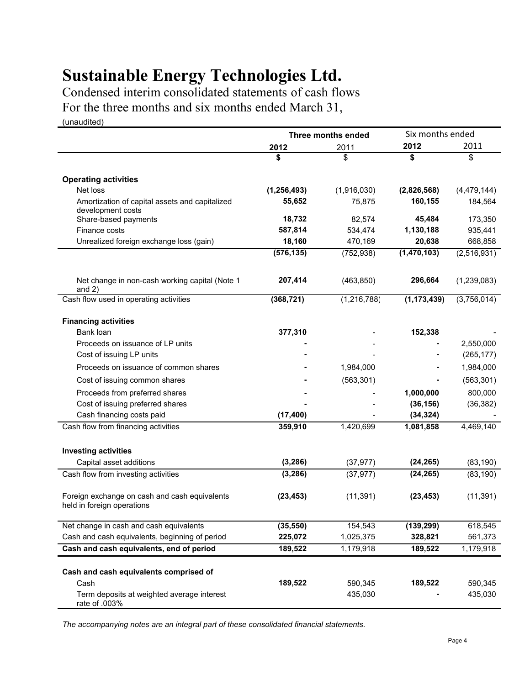Condensed interim consolidated statements of cash flows For the three months and six months ended March 31,

(unaudited)

|                                                                             |               | Three months ended | Six months ended |               |
|-----------------------------------------------------------------------------|---------------|--------------------|------------------|---------------|
|                                                                             | 2012          | 2011               | 2012             | 2011          |
|                                                                             | \$            | \$                 | \$               | \$            |
| <b>Operating activities</b>                                                 |               |                    |                  |               |
| Net loss                                                                    | (1, 256, 493) | (1,916,030)        | (2,826,568)      | (4, 479, 144) |
| Amortization of capital assets and capitalized                              | 55,652        | 75,875             | 160,155          | 184,564       |
| development costs                                                           |               |                    |                  |               |
| Share-based payments                                                        | 18,732        | 82,574             | 45,484           | 173,350       |
| Finance costs                                                               | 587,814       | 534,474            | 1,130,188        | 935,441       |
| Unrealized foreign exchange loss (gain)                                     | 18,160        | 470,169            | 20,638           | 668,858       |
|                                                                             | (576, 135)    | (752, 938)         | (1,470,103)      | (2,516,931)   |
| Net change in non-cash working capital (Note 1<br>and $2)$                  | 207,414       | (463, 850)         | 296,664          | (1,239,083)   |
| Cash flow used in operating activities                                      | (368, 721)    | (1, 216, 788)      | (1, 173, 439)    | (3,756,014)   |
| <b>Financing activities</b>                                                 |               |                    |                  |               |
| Bank loan                                                                   | 377,310       |                    | 152,338          |               |
| Proceeds on issuance of LP units                                            |               |                    |                  | 2,550,000     |
| Cost of issuing LP units                                                    |               |                    |                  | (265, 177)    |
| Proceeds on issuance of common shares                                       |               | 1,984,000          |                  | 1,984,000     |
| Cost of issuing common shares                                               |               | (563, 301)         |                  | (563, 301)    |
| Proceeds from preferred shares                                              |               |                    | 1,000,000        | 800,000       |
| Cost of issuing preferred shares                                            |               |                    | (36, 156)        | (36, 382)     |
| Cash financing costs paid                                                   | (17, 400)     |                    | (34, 324)        |               |
| Cash flow from financing activities                                         | 359,910       | 1,420,699          | 1,081,858        | 4,469,140     |
| <b>Investing activities</b>                                                 |               |                    |                  |               |
| Capital asset additions                                                     | (3, 286)      | (37, 977)          | (24, 265)        | (83, 190)     |
| Cash flow from investing activities                                         | (3, 286)      | (37, 977)          | (24, 265)        | (83, 190)     |
| Foreign exchange on cash and cash equivalents<br>held in foreign operations | (23, 453)     | (11, 391)          | (23, 453)        | (11, 391)     |
| Net change in cash and cash equivalents                                     | (35, 550)     | 154,543            | (139, 299)       | 618,545       |
| Cash and cash equivalents, beginning of period                              | 225,072       | 1,025,375          | 328,821          | 561,373       |
| Cash and cash equivalents, end of period                                    | 189,522       | 1,179,918          | 189,522          | 1,179,918     |
| Cash and cash equivalents comprised of                                      |               |                    |                  |               |
| Cash                                                                        | 189,522       | 590,345            | 189,522          | 590,345       |
| Term deposits at weighted average interest<br>rate of .003%                 |               | 435,030            |                  | 435,030       |

*The accompanying notes are an integral part of these consolidated financial statements.*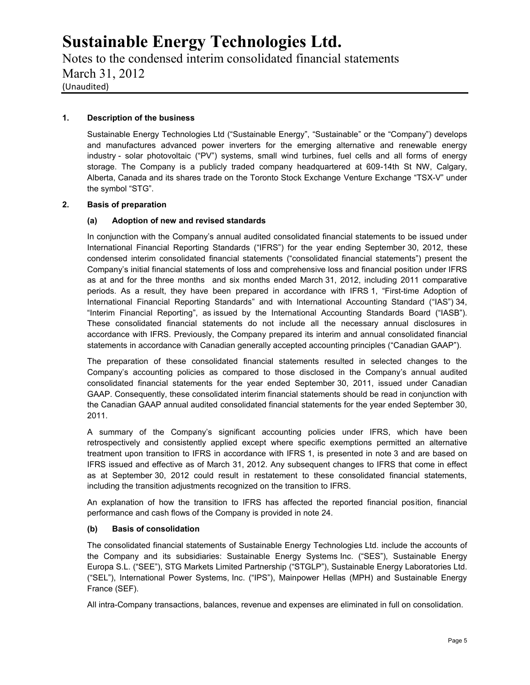Notes to the condensed interim consolidated financial statements March 31, 2012 (Unaudited)

#### **1. Description of the business**

Sustainable Energy Technologies Ltd ("Sustainable Energy", "Sustainable" or the "Company") develops and manufactures advanced power inverters for the emerging alternative and renewable energy industry - solar photovoltaic ("PV") systems, small wind turbines, fuel cells and all forms of energy storage. The Company is a publicly traded company headquartered at 609-14th St NW, Calgary, Alberta, Canada and its shares trade on the Toronto Stock Exchange Venture Exchange "TSX-V" under the symbol "STG".

#### **2. Basis of preparation**

#### **(a) Adoption of new and revised standards**

In conjunction with the Company's annual audited consolidated financial statements to be issued under International Financial Reporting Standards ("IFRS") for the year ending September 30, 2012, these condensed interim consolidated financial statements ("consolidated financial statements") present the Company's initial financial statements of loss and comprehensive loss and financial position under IFRS as at and for the three months and six months ended March 31, 2012, including 2011 comparative periods. As a result, they have been prepared in accordance with IFRS 1, "First-time Adoption of International Financial Reporting Standards" and with International Accounting Standard ("IAS") 34, "Interim Financial Reporting", as issued by the International Accounting Standards Board ("IASB"). These consolidated financial statements do not include all the necessary annual disclosures in accordance with IFRS. Previously, the Company prepared its interim and annual consolidated financial statements in accordance with Canadian generally accepted accounting principles ("Canadian GAAP").

The preparation of these consolidated financial statements resulted in selected changes to the Company's accounting policies as compared to those disclosed in the Company's annual audited consolidated financial statements for the year ended September 30, 2011, issued under Canadian GAAP. Consequently, these consolidated interim financial statements should be read in conjunction with the Canadian GAAP annual audited consolidated financial statements for the year ended September 30, 2011.

A summary of the Company's significant accounting policies under IFRS, which have been retrospectively and consistently applied except where specific exemptions permitted an alternative treatment upon transition to IFRS in accordance with IFRS 1, is presented in note 3 and are based on IFRS issued and effective as of March 31, 2012. Any subsequent changes to IFRS that come in effect as at September 30, 2012 could result in restatement to these consolidated financial statements, including the transition adjustments recognized on the transition to IFRS.

An explanation of how the transition to IFRS has affected the reported financial position, financial performance and cash flows of the Company is provided in note 24.

#### **(b) Basis of consolidation**

The consolidated financial statements of Sustainable Energy Technologies Ltd. include the accounts of the Company and its subsidiaries: Sustainable Energy Systems Inc. ("SES"), Sustainable Energy Europa S.L. ("SEE"), STG Markets Limited Partnership ("STGLP"), Sustainable Energy Laboratories Ltd. ("SEL"), International Power Systems, Inc. ("IPS"), Mainpower Hellas (MPH) and Sustainable Energy France (SEF).

All intra-Company transactions, balances, revenue and expenses are eliminated in full on consolidation.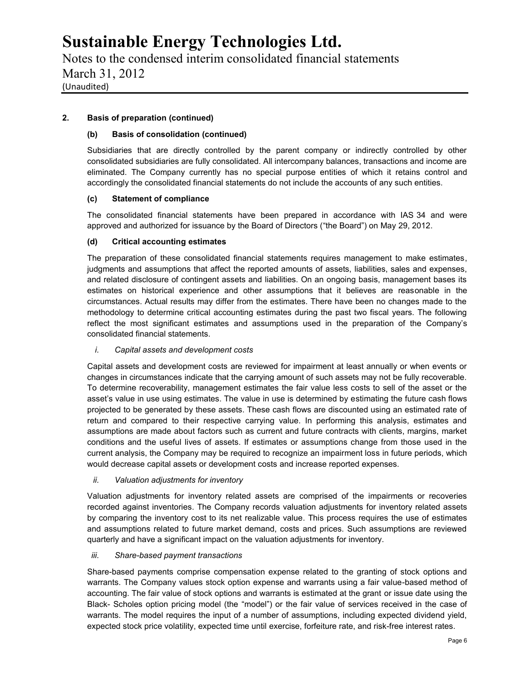Notes to the condensed interim consolidated financial statements March 31, 2012 (Unaudited)

### **2. Basis of preparation (continued)**

#### **(b) Basis of consolidation (continued)**

Subsidiaries that are directly controlled by the parent company or indirectly controlled by other consolidated subsidiaries are fully consolidated. All intercompany balances, transactions and income are eliminated. The Company currently has no special purpose entities of which it retains control and accordingly the consolidated financial statements do not include the accounts of any such entities.

#### **(c) Statement of compliance**

The consolidated financial statements have been prepared in accordance with IAS 34 and were approved and authorized for issuance by the Board of Directors ("the Board") on May 29, 2012.

#### **(d) Critical accounting estimates**

The preparation of these consolidated financial statements requires management to make estimates, judgments and assumptions that affect the reported amounts of assets, liabilities, sales and expenses, and related disclosure of contingent assets and liabilities. On an ongoing basis, management bases its estimates on historical experience and other assumptions that it believes are reasonable in the circumstances. Actual results may differ from the estimates. There have been no changes made to the methodology to determine critical accounting estimates during the past two fiscal years. The following reflect the most significant estimates and assumptions used in the preparation of the Company's consolidated financial statements.

#### *i. Capital assets and development costs*

Capital assets and development costs are reviewed for impairment at least annually or when events or changes in circumstances indicate that the carrying amount of such assets may not be fully recoverable. To determine recoverability, management estimates the fair value less costs to sell of the asset or the asset's value in use using estimates. The value in use is determined by estimating the future cash flows projected to be generated by these assets. These cash flows are discounted using an estimated rate of return and compared to their respective carrying value. In performing this analysis, estimates and assumptions are made about factors such as current and future contracts with clients, margins, market conditions and the useful lives of assets. If estimates or assumptions change from those used in the current analysis, the Company may be required to recognize an impairment loss in future periods, which would decrease capital assets or development costs and increase reported expenses.

#### *ii. Valuation adjustments for inventory*

Valuation adjustments for inventory related assets are comprised of the impairments or recoveries recorded against inventories. The Company records valuation adjustments for inventory related assets by comparing the inventory cost to its net realizable value. This process requires the use of estimates and assumptions related to future market demand, costs and prices. Such assumptions are reviewed quarterly and have a significant impact on the valuation adjustments for inventory.

#### *iii. Share-based payment transactions*

Share-based payments comprise compensation expense related to the granting of stock options and warrants. The Company values stock option expense and warrants using a fair value-based method of accounting. The fair value of stock options and warrants is estimated at the grant or issue date using the Black- Scholes option pricing model (the "model") or the fair value of services received in the case of warrants. The model requires the input of a number of assumptions, including expected dividend yield, expected stock price volatility, expected time until exercise, forfeiture rate, and risk-free interest rates.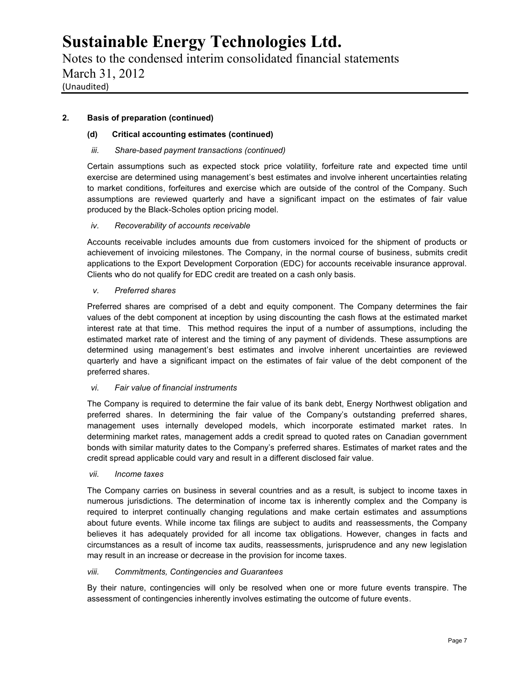Notes to the condensed interim consolidated financial statements March 31, 2012 (Unaudited)

### **2. Basis of preparation (continued)**

#### **(d) Critical accounting estimates (continued)**

#### *iii. Share-based payment transactions (continued)*

Certain assumptions such as expected stock price volatility, forfeiture rate and expected time until exercise are determined using management's best estimates and involve inherent uncertainties relating to market conditions, forfeitures and exercise which are outside of the control of the Company. Such assumptions are reviewed quarterly and have a significant impact on the estimates of fair value produced by the Black-Scholes option pricing model.

#### *iv. Recoverability of accounts receivable*

Accounts receivable includes amounts due from customers invoiced for the shipment of products or achievement of invoicing milestones. The Company, in the normal course of business, submits credit applications to the Export Development Corporation (EDC) for accounts receivable insurance approval. Clients who do not qualify for EDC credit are treated on a cash only basis.

#### *v. Preferred shares*

Preferred shares are comprised of a debt and equity component. The Company determines the fair values of the debt component at inception by using discounting the cash flows at the estimated market interest rate at that time. This method requires the input of a number of assumptions, including the estimated market rate of interest and the timing of any payment of dividends. These assumptions are determined using management's best estimates and involve inherent uncertainties are reviewed quarterly and have a significant impact on the estimates of fair value of the debt component of the preferred shares.

#### *vi. Fair value of financial instruments*

The Company is required to determine the fair value of its bank debt, Energy Northwest obligation and preferred shares. In determining the fair value of the Company's outstanding preferred shares, management uses internally developed models, which incorporate estimated market rates. In determining market rates, management adds a credit spread to quoted rates on Canadian government bonds with similar maturity dates to the Company's preferred shares. Estimates of market rates and the credit spread applicable could vary and result in a different disclosed fair value.

#### *vii. Income taxes*

The Company carries on business in several countries and as a result, is subject to income taxes in numerous jurisdictions. The determination of income tax is inherently complex and the Company is required to interpret continually changing regulations and make certain estimates and assumptions about future events. While income tax filings are subject to audits and reassessments, the Company believes it has adequately provided for all income tax obligations. However, changes in facts and circumstances as a result of income tax audits, reassessments, jurisprudence and any new legislation may result in an increase or decrease in the provision for income taxes.

#### *viii. Commitments, Contingencies and Guarantees*

By their nature, contingencies will only be resolved when one or more future events transpire. The assessment of contingencies inherently involves estimating the outcome of future events.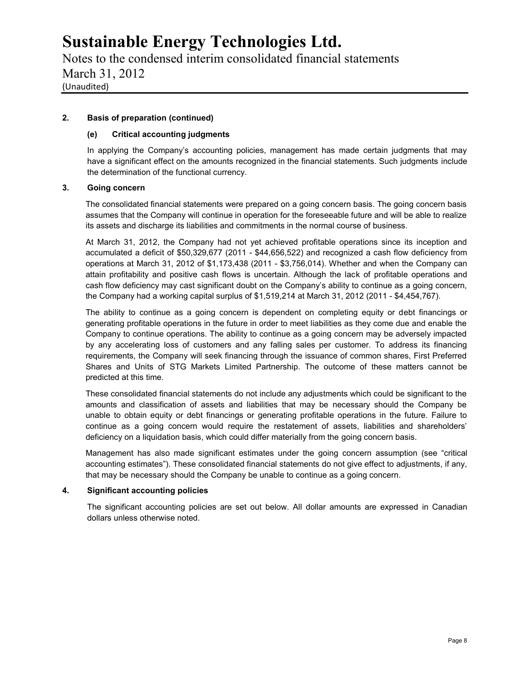Notes to the condensed interim consolidated financial statements March 31, 2012 (Unaudited)

#### **2. Basis of preparation (continued)**

#### **(e) Critical accounting judgments**

In applying the Company's accounting policies, management has made certain judgments that may have a significant effect on the amounts recognized in the financial statements. Such judgments include the determination of the functional currency.

#### **3. Going concern**

The consolidated financial statements were prepared on a going concern basis. The going concern basis assumes that the Company will continue in operation for the foreseeable future and will be able to realize its assets and discharge its liabilities and commitments in the normal course of business.

At March 31, 2012, the Company had not yet achieved profitable operations since its inception and accumulated a deficit of \$50,329,677 (2011 - \$44,656,522) and recognized a cash flow deficiency from operations at March 31, 2012 of \$1,173,438 (2011 - \$3,756,014). Whether and when the Company can attain profitability and positive cash flows is uncertain. Although the lack of profitable operations and cash flow deficiency may cast significant doubt on the Company's ability to continue as a going concern, the Company had a working capital surplus of \$1,519,214 at March 31, 2012 (2011 - \$4,454,767).

The ability to continue as a going concern is dependent on completing equity or debt financings or generating profitable operations in the future in order to meet liabilities as they come due and enable the Company to continue operations. The ability to continue as a going concern may be adversely impacted by any accelerating loss of customers and any falling sales per customer. To address its financing requirements, the Company will seek financing through the issuance of common shares, First Preferred Shares and Units of STG Markets Limited Partnership. The outcome of these matters cannot be predicted at this time.

These consolidated financial statements do not include any adjustments which could be significant to the amounts and classification of assets and liabilities that may be necessary should the Company be unable to obtain equity or debt financings or generating profitable operations in the future. Failure to continue as a going concern would require the restatement of assets, liabilities and shareholders' deficiency on a liquidation basis, which could differ materially from the going concern basis.

Management has also made significant estimates under the going concern assumption (see "critical accounting estimates"). These consolidated financial statements do not give effect to adjustments, if any, that may be necessary should the Company be unable to continue as a going concern.

#### **4. Significant accounting policies**

The significant accounting policies are set out below. All dollar amounts are expressed in Canadian dollars unless otherwise noted.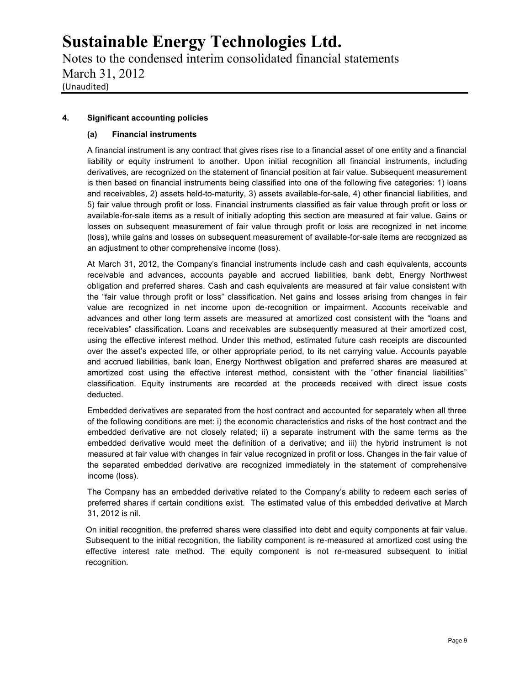Notes to the condensed interim consolidated financial statements March 31, 2012 (Unaudited)

### **4. Significant accounting policies**

#### **(a) Financial instruments**

A financial instrument is any contract that gives rises rise to a financial asset of one entity and a financial liability or equity instrument to another. Upon initial recognition all financial instruments, including derivatives, are recognized on the statement of financial position at fair value. Subsequent measurement is then based on financial instruments being classified into one of the following five categories: 1) loans and receivables, 2) assets held-to-maturity, 3) assets available-for-sale, 4) other financial liabilities, and 5) fair value through profit or loss. Financial instruments classified as fair value through profit or loss or available-for-sale items as a result of initially adopting this section are measured at fair value. Gains or losses on subsequent measurement of fair value through profit or loss are recognized in net income (loss), while gains and losses on subsequent measurement of available-for-sale items are recognized as an adjustment to other comprehensive income (loss).

At March 31, 2012, the Company's financial instruments include cash and cash equivalents, accounts receivable and advances, accounts payable and accrued liabilities, bank debt, Energy Northwest obligation and preferred shares. Cash and cash equivalents are measured at fair value consistent with the "fair value through profit or loss" classification. Net gains and losses arising from changes in fair value are recognized in net income upon de-recognition or impairment. Accounts receivable and advances and other long term assets are measured at amortized cost consistent with the "loans and receivables" classification. Loans and receivables are subsequently measured at their amortized cost, using the effective interest method. Under this method, estimated future cash receipts are discounted over the asset's expected life, or other appropriate period, to its net carrying value. Accounts payable and accrued liabilities, bank loan, Energy Northwest obligation and preferred shares are measured at amortized cost using the effective interest method, consistent with the "other financial liabilities" classification. Equity instruments are recorded at the proceeds received with direct issue costs deducted.

Embedded derivatives are separated from the host contract and accounted for separately when all three of the following conditions are met: i) the economic characteristics and risks of the host contract and the embedded derivative are not closely related; ii) a separate instrument with the same terms as the embedded derivative would meet the definition of a derivative; and iii) the hybrid instrument is not measured at fair value with changes in fair value recognized in profit or loss. Changes in the fair value of the separated embedded derivative are recognized immediately in the statement of comprehensive income (loss).

The Company has an embedded derivative related to the Company's ability to redeem each series of preferred shares if certain conditions exist. The estimated value of this embedded derivative at March 31, 2012 is nil.

On initial recognition, the preferred shares were classified into debt and equity components at fair value. Subsequent to the initial recognition, the liability component is re-measured at amortized cost using the effective interest rate method. The equity component is not re-measured subsequent to initial recognition.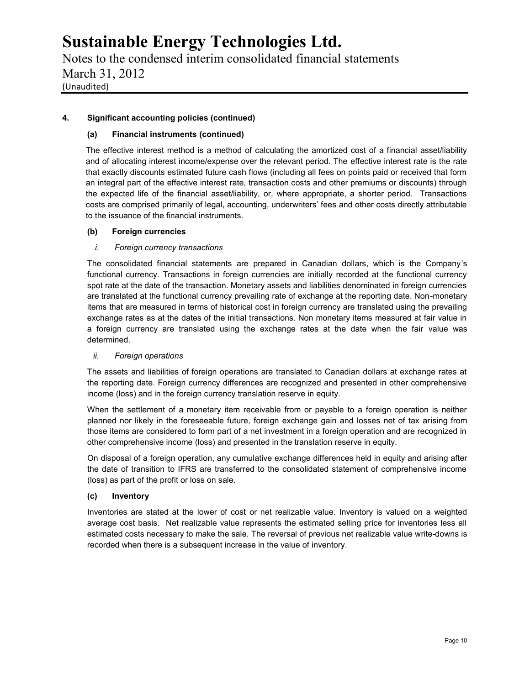Notes to the condensed interim consolidated financial statements March 31, 2012 (Unaudited)

### **4. Significant accounting policies (continued)**

#### **(a) Financial instruments (continued)**

The effective interest method is a method of calculating the amortized cost of a financial asset/liability and of allocating interest income/expense over the relevant period. The effective interest rate is the rate that exactly discounts estimated future cash flows (including all fees on points paid or received that form an integral part of the effective interest rate, transaction costs and other premiums or discounts) through the expected life of the financial asset/liability, or, where appropriate, a shorter period. Transactions costs are comprised primarily of legal, accounting, underwriters' fees and other costs directly attributable to the issuance of the financial instruments.

#### **(b) Foreign currencies**

#### *i. Foreign currency transactions*

The consolidated financial statements are prepared in Canadian dollars, which is the Company's functional currency. Transactions in foreign currencies are initially recorded at the functional currency spot rate at the date of the transaction. Monetary assets and liabilities denominated in foreign currencies are translated at the functional currency prevailing rate of exchange at the reporting date. Non-monetary items that are measured in terms of historical cost in foreign currency are translated using the prevailing exchange rates as at the dates of the initial transactions. Non monetary items measured at fair value in a foreign currency are translated using the exchange rates at the date when the fair value was determined.

#### *ii. Foreign operations*

The assets and liabilities of foreign operations are translated to Canadian dollars at exchange rates at the reporting date. Foreign currency differences are recognized and presented in other comprehensive income (loss) and in the foreign currency translation reserve in equity.

When the settlement of a monetary item receivable from or payable to a foreign operation is neither planned nor likely in the foreseeable future, foreign exchange gain and losses net of tax arising from those items are considered to form part of a net investment in a foreign operation and are recognized in other comprehensive income (loss) and presented in the translation reserve in equity.

On disposal of a foreign operation, any cumulative exchange differences held in equity and arising after the date of transition to IFRS are transferred to the consolidated statement of comprehensive income (loss) as part of the profit or loss on sale.

#### **(c) Inventory**

Inventories are stated at the lower of cost or net realizable value. Inventory is valued on a weighted average cost basis. Net realizable value represents the estimated selling price for inventories less all estimated costs necessary to make the sale. The reversal of previous net realizable value write-downs is recorded when there is a subsequent increase in the value of inventory.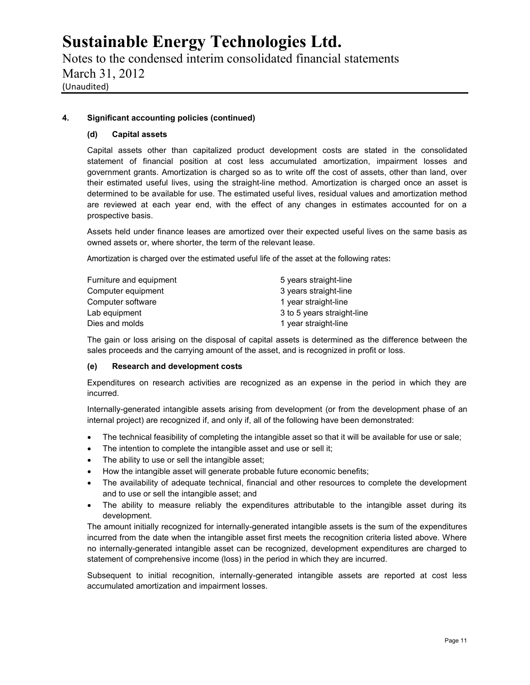Notes to the condensed interim consolidated financial statements March 31, 2012 (Unaudited)

#### **4. Significant accounting policies (continued)**

#### **(d) Capital assets**

Capital assets other than capitalized product development costs are stated in the consolidated statement of financial position at cost less accumulated amortization, impairment losses and government grants. Amortization is charged so as to write off the cost of assets, other than land, over their estimated useful lives, using the straight-line method. Amortization is charged once an asset is determined to be available for use. The estimated useful lives, residual values and amortization method are reviewed at each year end, with the effect of any changes in estimates accounted for on a prospective basis.

Assets held under finance leases are amortized over their expected useful lives on the same basis as owned assets or, where shorter, the term of the relevant lease.

Amortization is charged over the estimated useful life of the asset at the following rates:

| Furniture and equipment | 5 years straight-line      |
|-------------------------|----------------------------|
| Computer equipment      | 3 years straight-line      |
| Computer software       | 1 year straight-line       |
| Lab equipment           | 3 to 5 years straight-line |
| Dies and molds          | 1 year straight-line       |

The gain or loss arising on the disposal of capital assets is determined as the difference between the sales proceeds and the carrying amount of the asset, and is recognized in profit or loss.

#### **(e) Research and development costs**

Expenditures on research activities are recognized as an expense in the period in which they are incurred.

Internally-generated intangible assets arising from development (or from the development phase of an internal project) are recognized if, and only if, all of the following have been demonstrated:

- The technical feasibility of completing the intangible asset so that it will be available for use or sale;
- The intention to complete the intangible asset and use or sell it;
- The ability to use or sell the intangible asset;
- How the intangible asset will generate probable future economic benefits;
- The availability of adequate technical, financial and other resources to complete the development and to use or sell the intangible asset; and
- The ability to measure reliably the expenditures attributable to the intangible asset during its development.

The amount initially recognized for internally-generated intangible assets is the sum of the expenditures incurred from the date when the intangible asset first meets the recognition criteria listed above. Where no internally-generated intangible asset can be recognized, development expenditures are charged to statement of comprehensive income (loss) in the period in which they are incurred.

Subsequent to initial recognition, internally-generated intangible assets are reported at cost less accumulated amortization and impairment losses.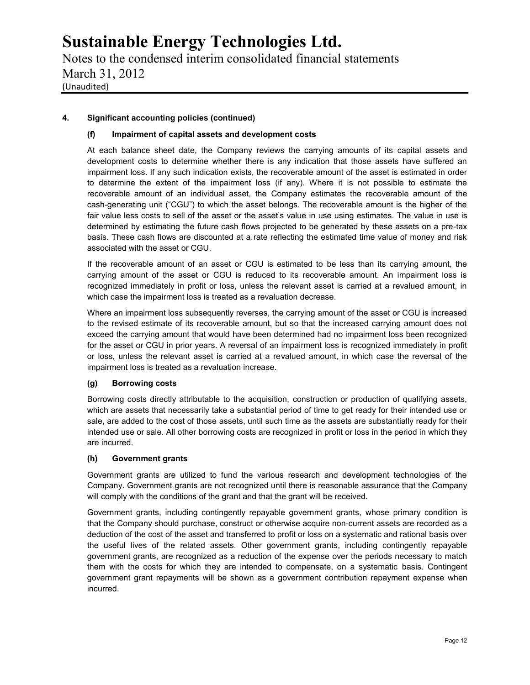Notes to the condensed interim consolidated financial statements March 31, 2012 (Unaudited)

### **4. Significant accounting policies (continued)**

#### **(f) Impairment of capital assets and development costs**

At each balance sheet date, the Company reviews the carrying amounts of its capital assets and development costs to determine whether there is any indication that those assets have suffered an impairment loss. If any such indication exists, the recoverable amount of the asset is estimated in order to determine the extent of the impairment loss (if any). Where it is not possible to estimate the recoverable amount of an individual asset, the Company estimates the recoverable amount of the cash-generating unit ("CGU") to which the asset belongs. The recoverable amount is the higher of the fair value less costs to sell of the asset or the asset's value in use using estimates. The value in use is determined by estimating the future cash flows projected to be generated by these assets on a pre-tax basis. These cash flows are discounted at a rate reflecting the estimated time value of money and risk associated with the asset or CGU.

If the recoverable amount of an asset or CGU is estimated to be less than its carrying amount, the carrying amount of the asset or CGU is reduced to its recoverable amount. An impairment loss is recognized immediately in profit or loss, unless the relevant asset is carried at a revalued amount, in which case the impairment loss is treated as a revaluation decrease.

Where an impairment loss subsequently reverses, the carrying amount of the asset or CGU is increased to the revised estimate of its recoverable amount, but so that the increased carrying amount does not exceed the carrying amount that would have been determined had no impairment loss been recognized for the asset or CGU in prior years. A reversal of an impairment loss is recognized immediately in profit or loss, unless the relevant asset is carried at a revalued amount, in which case the reversal of the impairment loss is treated as a revaluation increase.

### **(g) Borrowing costs**

Borrowing costs directly attributable to the acquisition, construction or production of qualifying assets, which are assets that necessarily take a substantial period of time to get ready for their intended use or sale, are added to the cost of those assets, until such time as the assets are substantially ready for their intended use or sale. All other borrowing costs are recognized in profit or loss in the period in which they are incurred.

#### **(h) Government grants**

Government grants are utilized to fund the various research and development technologies of the Company. Government grants are not recognized until there is reasonable assurance that the Company will comply with the conditions of the grant and that the grant will be received.

Government grants, including contingently repayable government grants, whose primary condition is that the Company should purchase, construct or otherwise acquire non-current assets are recorded as a deduction of the cost of the asset and transferred to profit or loss on a systematic and rational basis over the useful lives of the related assets. Other government grants, including contingently repayable government grants, are recognized as a reduction of the expense over the periods necessary to match them with the costs for which they are intended to compensate, on a systematic basis. Contingent government grant repayments will be shown as a government contribution repayment expense when incurred.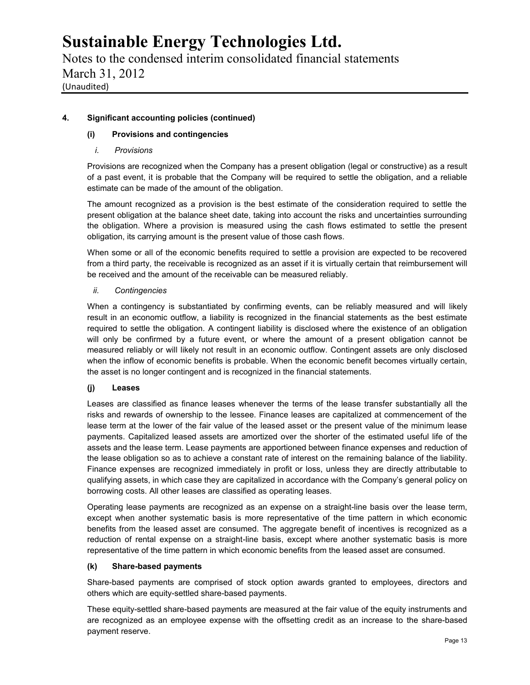Notes to the condensed interim consolidated financial statements March 31, 2012 (Unaudited)

### **4. Significant accounting policies (continued)**

### **(i) Provisions and contingencies**

#### *i. Provisions*

Provisions are recognized when the Company has a present obligation (legal or constructive) as a result of a past event, it is probable that the Company will be required to settle the obligation, and a reliable estimate can be made of the amount of the obligation.

The amount recognized as a provision is the best estimate of the consideration required to settle the present obligation at the balance sheet date, taking into account the risks and uncertainties surrounding the obligation. Where a provision is measured using the cash flows estimated to settle the present obligation, its carrying amount is the present value of those cash flows.

When some or all of the economic benefits required to settle a provision are expected to be recovered from a third party, the receivable is recognized as an asset if it is virtually certain that reimbursement will be received and the amount of the receivable can be measured reliably.

#### *ii. Contingencies*

When a contingency is substantiated by confirming events, can be reliably measured and will likely result in an economic outflow, a liability is recognized in the financial statements as the best estimate required to settle the obligation. A contingent liability is disclosed where the existence of an obligation will only be confirmed by a future event, or where the amount of a present obligation cannot be measured reliably or will likely not result in an economic outflow. Contingent assets are only disclosed when the inflow of economic benefits is probable. When the economic benefit becomes virtually certain, the asset is no longer contingent and is recognized in the financial statements.

#### **(j) Leases**

Leases are classified as finance leases whenever the terms of the lease transfer substantially all the risks and rewards of ownership to the lessee. Finance leases are capitalized at commencement of the lease term at the lower of the fair value of the leased asset or the present value of the minimum lease payments. Capitalized leased assets are amortized over the shorter of the estimated useful life of the assets and the lease term. Lease payments are apportioned between finance expenses and reduction of the lease obligation so as to achieve a constant rate of interest on the remaining balance of the liability. Finance expenses are recognized immediately in profit or loss, unless they are directly attributable to qualifying assets, in which case they are capitalized in accordance with the Company's general policy on borrowing costs. All other leases are classified as operating leases.

Operating lease payments are recognized as an expense on a straight-line basis over the lease term, except when another systematic basis is more representative of the time pattern in which economic benefits from the leased asset are consumed. The aggregate benefit of incentives is recognized as a reduction of rental expense on a straight-line basis, except where another systematic basis is more representative of the time pattern in which economic benefits from the leased asset are consumed.

#### **(k) Share-based payments**

Share-based payments are comprised of stock option awards granted to employees, directors and others which are equity-settled share-based payments.

These equity-settled share-based payments are measured at the fair value of the equity instruments and are recognized as an employee expense with the offsetting credit as an increase to the share-based payment reserve.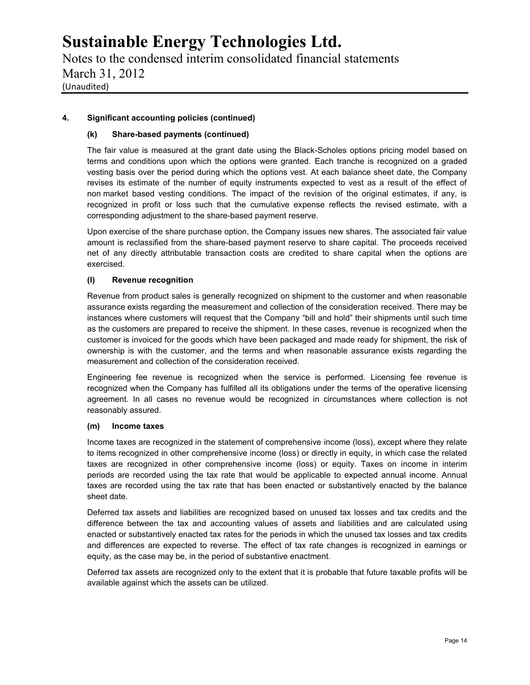Notes to the condensed interim consolidated financial statements March 31, 2012 (Unaudited)

### **4. Significant accounting policies (continued)**

#### **(k) Share-based payments (continued)**

The fair value is measured at the grant date using the Black-Scholes options pricing model based on terms and conditions upon which the options were granted. Each tranche is recognized on a graded vesting basis over the period during which the options vest. At each balance sheet date, the Company revises its estimate of the number of equity instruments expected to vest as a result of the effect of non market based vesting conditions. The impact of the revision of the original estimates, if any, is recognized in profit or loss such that the cumulative expense reflects the revised estimate, with a corresponding adjustment to the share-based payment reserve.

Upon exercise of the share purchase option, the Company issues new shares. The associated fair value amount is reclassified from the share-based payment reserve to share capital. The proceeds received net of any directly attributable transaction costs are credited to share capital when the options are exercised.

#### **(l) Revenue recognition**

Revenue from product sales is generally recognized on shipment to the customer and when reasonable assurance exists regarding the measurement and collection of the consideration received. There may be instances where customers will request that the Company "bill and hold" their shipments until such time as the customers are prepared to receive the shipment. In these cases, revenue is recognized when the customer is invoiced for the goods which have been packaged and made ready for shipment, the risk of ownership is with the customer, and the terms and when reasonable assurance exists regarding the measurement and collection of the consideration received.

Engineering fee revenue is recognized when the service is performed. Licensing fee revenue is recognized when the Company has fulfilled all its obligations under the terms of the operative licensing agreement. In all cases no revenue would be recognized in circumstances where collection is not reasonably assured.

#### **(m) Income taxes**

Income taxes are recognized in the statement of comprehensive income (loss), except where they relate to items recognized in other comprehensive income (loss) or directly in equity, in which case the related taxes are recognized in other comprehensive income (loss) or equity. Taxes on income in interim periods are recorded using the tax rate that would be applicable to expected annual income. Annual taxes are recorded using the tax rate that has been enacted or substantively enacted by the balance sheet date.

Deferred tax assets and liabilities are recognized based on unused tax losses and tax credits and the difference between the tax and accounting values of assets and liabilities and are calculated using enacted or substantively enacted tax rates for the periods in which the unused tax losses and tax credits and differences are expected to reverse. The effect of tax rate changes is recognized in earnings or equity, as the case may be, in the period of substantive enactment.

Deferred tax assets are recognized only to the extent that it is probable that future taxable profits will be available against which the assets can be utilized.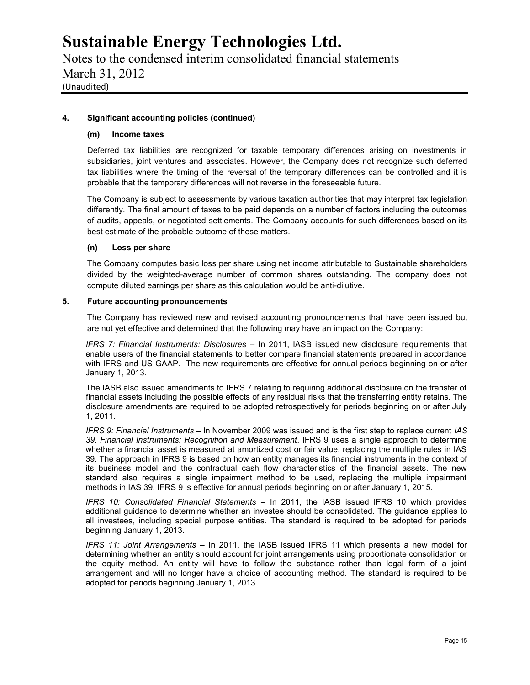Notes to the condensed interim consolidated financial statements March 31, 2012 (Unaudited)

#### **4. Significant accounting policies (continued)**

#### **(m) Income taxes**

Deferred tax liabilities are recognized for taxable temporary differences arising on investments in subsidiaries, joint ventures and associates. However, the Company does not recognize such deferred tax liabilities where the timing of the reversal of the temporary differences can be controlled and it is probable that the temporary differences will not reverse in the foreseeable future.

The Company is subject to assessments by various taxation authorities that may interpret tax legislation differently. The final amount of taxes to be paid depends on a number of factors including the outcomes of audits, appeals, or negotiated settlements. The Company accounts for such differences based on its best estimate of the probable outcome of these matters.

#### **(n) Loss per share**

The Company computes basic loss per share using net income attributable to Sustainable shareholders divided by the weighted-average number of common shares outstanding. The company does not compute diluted earnings per share as this calculation would be anti-dilutive.

#### **5. Future accounting pronouncements**

The Company has reviewed new and revised accounting pronouncements that have been issued but are not yet effective and determined that the following may have an impact on the Company:

*IFRS 7: Financial Instruments: Disclosures –* In 2011, IASB issued new disclosure requirements that enable users of the financial statements to better compare financial statements prepared in accordance with IFRS and US GAAP. The new requirements are effective for annual periods beginning on or after January 1, 2013.

The IASB also issued amendments to IFRS 7 relating to requiring additional disclosure on the transfer of financial assets including the possible effects of any residual risks that the transferring entity retains. The disclosure amendments are required to be adopted retrospectively for periods beginning on or after July 1, 2011.

*IFRS 9: Financial Instruments –* In November 2009 was issued and is the first step to replace current *IAS 39, Financial Instruments: Recognition and Measurement*. IFRS 9 uses a single approach to determine whether a financial asset is measured at amortized cost or fair value, replacing the multiple rules in IAS 39. The approach in IFRS 9 is based on how an entity manages its financial instruments in the context of its business model and the contractual cash flow characteristics of the financial assets. The new standard also requires a single impairment method to be used, replacing the multiple impairment methods in IAS 39. IFRS 9 is effective for annual periods beginning on or after January 1, 2015.

*IFRS 10: Consolidated Financial Statements* – In 2011, the IASB issued IFRS 10 which provides additional guidance to determine whether an investee should be consolidated. The guidance applies to all investees, including special purpose entities. The standard is required to be adopted for periods beginning January 1, 2013.

*IFRS 11: Joint Arrangements* – In 2011, the IASB issued IFRS 11 which presents a new model for determining whether an entity should account for joint arrangements using proportionate consolidation or the equity method. An entity will have to follow the substance rather than legal form of a joint arrangement and will no longer have a choice of accounting method. The standard is required to be adopted for periods beginning January 1, 2013.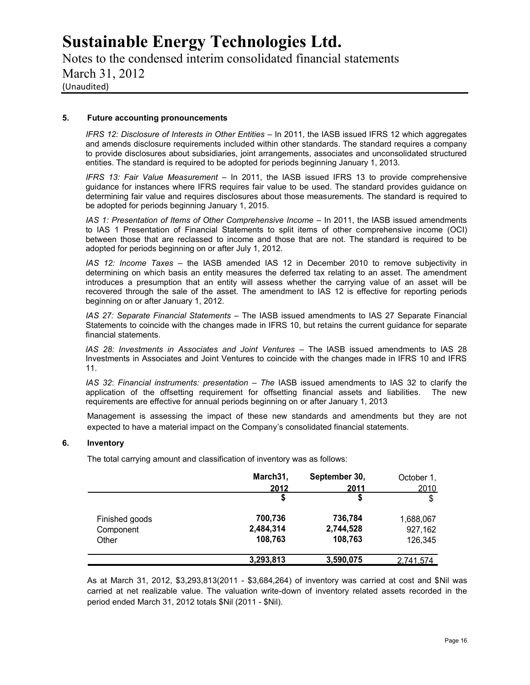Notes to the condensed interim consolidated financial statements March 31, 2012 (Unaudited)

#### **5. Future accounting pronouncements**

*IFRS 12: Disclosure of Interests in Other Entities* – In 2011, the IASB issued IFRS 12 which aggregates and amends disclosure requirements included within other standards. The standard requires a company to provide disclosures about subsidiaries, joint arrangements, associates and unconsolidated structured entities. The standard is required to be adopted for periods beginning January 1, 2013.

*IFRS 13: Fair Value Measurement* – In 2011, the IASB issued IFRS 13 to provide comprehensive guidance for instances where IFRS requires fair value to be used. The standard provides guidance on determining fair value and requires disclosures about those measurements. The standard is required to be adopted for periods beginning January 1, 2015.

*IAS 1: Presentation of Items of Other Comprehensive Income – In 2011*, the IASB issued amendments to IAS 1 Presentation of Financial Statements to split items of other comprehensive income (OCI) between those that are reclassed to income and those that are not. The standard is required to be adopted for periods beginning on or after July 1, 2012.

*IAS 12: Income Taxes* – the IASB amended IAS 12 in December 2010 to remove subjectivity in determining on which basis an entity measures the deferred tax relating to an asset. The amendment introduces a presumption that an entity will assess whether the carrying value of an asset will be recovered through the sale of the asset. The amendment to IAS 12 is effective for reporting periods beginning on or after January 1, 2012.

*IAS 27: Separate Financial Statements* – The IASB issued amendments to IAS 27 Separate Financial Statements to coincide with the changes made in IFRS 10, but retains the current guidance for separate financial statements.

*lAS 28: Investments in Associates and Joint Ventures* – The lASB issued amendments to lAS 28 Investments in Associates and Joint Ventures to coincide with the changes made in IFRS 10 and IFRS 11.

*IAS 32: Financial instruments: presentation – The IASB issued amendments to IAS 32 to clarify the* application of the offsetting requirement for offsetting financial assets and liabilities. The new requirements are effective for annual periods beginning on or after January 1, 2013

Management is assessing the impact of these new standards and amendments but they are not expected to have a material impact on the Company's consolidated financial statements.

#### **6. Inventory**

The total carrying amount and classification of inventory was as follows:

|                    | March31,             | September 30,        | October 1,         |
|--------------------|----------------------|----------------------|--------------------|
|                    | 2012<br>\$           | 2011<br>S            | 2010<br>\$         |
| Finished goods     | 700,736              | 736,784              | 1,688,067          |
| Component<br>Other | 2,484,314<br>108,763 | 2,744,528<br>108,763 | 927,162<br>126,345 |
|                    | 3,293,813            | 3,590,075            | 2.741.574          |

As at March 31, 2012, \$3,293,813(2011 - \$3,684,264) of inventory was carried at cost and \$Nil was carried at net realizable value. The valuation write-down of inventory related assets recorded in the period ended March 31, 2012 totals \$Nil (2011 - \$Nil).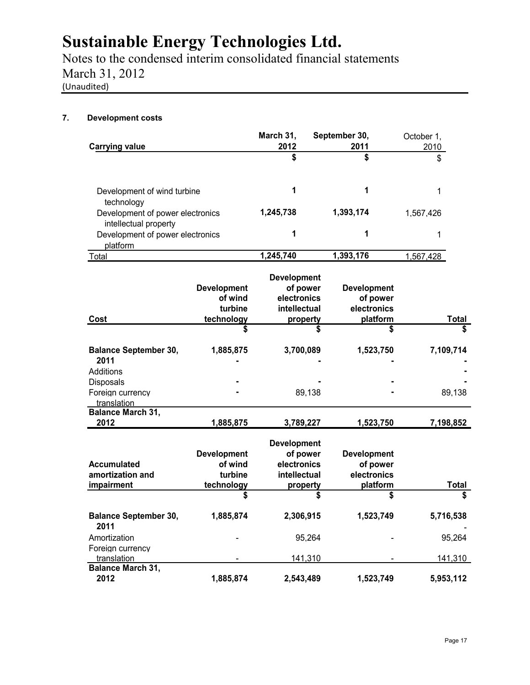Notes to the condensed interim consolidated financial statements March 31, 2012 (Unaudited)

### **7. Development costs**

|                                                                         |                                                        | March 31,                                                                 | September 30,                                             | October 1,   |
|-------------------------------------------------------------------------|--------------------------------------------------------|---------------------------------------------------------------------------|-----------------------------------------------------------|--------------|
| <b>Carrying value</b>                                                   |                                                        | 2012                                                                      | 2011                                                      | 2010         |
|                                                                         |                                                        | \$                                                                        | \$                                                        | \$           |
| Development of wind turbine                                             |                                                        | 1                                                                         | 1                                                         | 1            |
| technology<br>Development of power electronics<br>intellectual property |                                                        | 1,245,738                                                                 | 1,393,174                                                 | 1,567,426    |
| Development of power electronics<br>platform                            |                                                        | 1                                                                         | 1                                                         | 1            |
| Total                                                                   |                                                        | 1,245,740                                                                 | 1,393,176                                                 | 1,567,428    |
| Cost                                                                    | <b>Development</b><br>of wind<br>turbine<br>technology | <b>Development</b><br>of power<br>electronics<br>intellectual<br>property | <b>Development</b><br>of power<br>electronics<br>platform | <b>Total</b> |
|                                                                         |                                                        |                                                                           |                                                           | \$           |
| <b>Balance September 30,</b><br>2011                                    | 1,885,875                                              | 3,700,089                                                                 | 1,523,750                                                 | 7,109,714    |
| Additions                                                               |                                                        |                                                                           |                                                           |              |
| <b>Disposals</b><br>Foreign currency<br>translation                     |                                                        | 89,138                                                                    |                                                           | 89,138       |
| <b>Balance March 31,</b><br>2012                                        | 1,885,875                                              | 3,789,227                                                                 | 1,523,750                                                 | 7,198,852    |
|                                                                         |                                                        |                                                                           |                                                           |              |
|                                                                         | <b>Development</b>                                     | <b>Development</b><br>of power                                            | <b>Development</b>                                        |              |
| <b>Accumulated</b>                                                      | of wind                                                | electronics                                                               | of power                                                  |              |
| amortization and                                                        | turbine                                                | intellectual                                                              | electronics                                               |              |
| impairment                                                              | technology                                             | property                                                                  | platform                                                  | Total        |
|                                                                         | \$                                                     |                                                                           | \$                                                        | \$           |
| <b>Balance September 30,</b><br>2011                                    | 1,885,874                                              | 2,306,915                                                                 | 1,523,749                                                 | 5,716,538    |
| Amortization                                                            |                                                        | 95,264                                                                    |                                                           | 95,264       |
| Foreign currency                                                        |                                                        |                                                                           |                                                           |              |
| translation<br><b>Balance March 31,</b>                                 |                                                        | 141,310                                                                   |                                                           | 141,310      |
| 2012                                                                    | 1,885,874                                              | 2,543,489                                                                 | 1,523,749                                                 | 5,953,112    |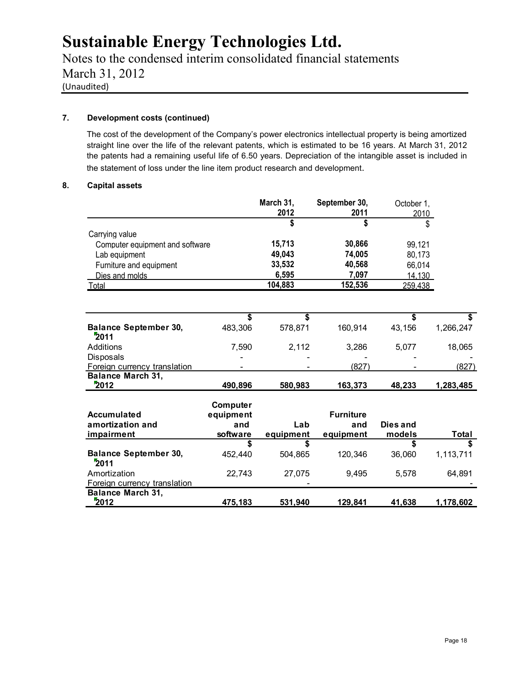Notes to the condensed interim consolidated financial statements March 31, 2012 (Unaudited)

#### **7. Development costs (continued)**

The cost of the development of the Company's power electronics intellectual property is being amortized straight line over the life of the relevant patents, which is estimated to be 16 years. At March 31, 2012 the patents had a remaining useful life of 6.50 years. Depreciation of the intangible asset is included in the statement of loss under the line item product research and development.

#### **8. Capital assets**

|                                      |           | March 31, | September 30,    | October 1, |           |
|--------------------------------------|-----------|-----------|------------------|------------|-----------|
|                                      |           | 2012      | 2011             | 2010       |           |
|                                      |           | \$        | \$               | \$         |           |
| Carrying value                       |           |           |                  |            |           |
| Computer equipment and software      |           | 15,713    | 30,866           | 99,121     |           |
| Lab equipment                        |           | 49,043    | 74,005           | 80,173     |           |
| Furniture and equipment              |           | 33,532    | 40,568           | 66,014     |           |
| Dies and molds                       |           | 6,595     | 7.097            | 14,130     |           |
| Total                                |           | 104,883   | 152,536          | 259.438    |           |
|                                      |           |           |                  |            |           |
|                                      |           |           |                  |            |           |
|                                      | \$        | \$        |                  | \$         |           |
| <b>Balance September 30,</b><br>2011 | 483,306   | 578,871   | 160,914          | 43,156     | 1,266,247 |
| Additions                            | 7,590     | 2,112     | 3,286            | 5,077      | 18,065    |
| <b>Disposals</b>                     |           |           |                  |            |           |
| Foreign currency translation         |           |           | (827)            |            | (827)     |
| <b>Balance March 31,</b>             |           |           |                  |            |           |
| 2012                                 | 490,896   | 580,983   | 163,373          | 48.233     | 1,283,485 |
|                                      | Computer  |           |                  |            |           |
| <b>Accumulated</b>                   | equipment |           | <b>Furniture</b> |            |           |
| amortization and                     | and       | Lab       | and              | Dies and   |           |
| impairment                           | software  | equipment | equipment        | models     | Total     |
|                                      | \$        | \$        |                  | \$         |           |
| <b>Balance September 30,</b><br>2011 | 452,440   | 504,865   | 120,346          | 36,060     | 1,113,711 |
| Amortization                         | 22,743    | 27,075    | 9,495            | 5,578      | 64,891    |
| Foreign currency translation         |           |           |                  |            |           |
| <b>Balance March 31,</b>             |           |           |                  |            |           |
| 2012                                 | 475.183   | 531.940   | 129.841          | 41.638     | 1.178.602 |

**2012 475,183 531,940 129,841 41,638 1,178,602**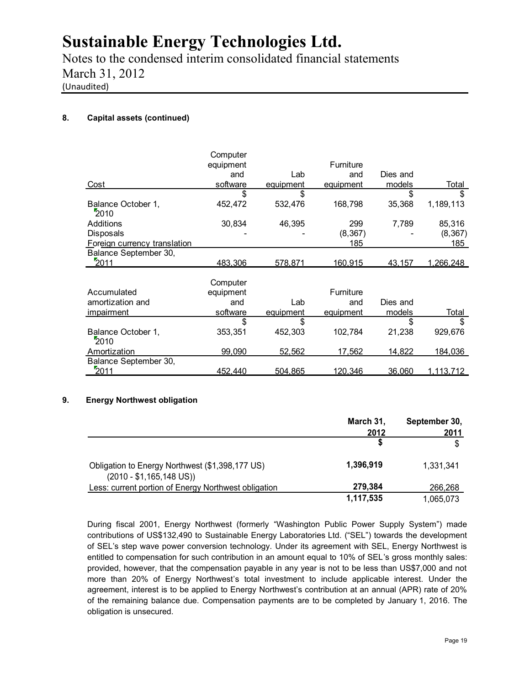Notes to the condensed interim consolidated financial statements March 31, 2012 (Unaudited)

### **8. Capital assets (continued)**

|                              | Computer<br>equipment<br>and | Lab       | <b>Furniture</b><br>and | Dies and |                   |
|------------------------------|------------------------------|-----------|-------------------------|----------|-------------------|
| Cost                         | software                     | equipment | equipment               | models   | Total             |
|                              | \$                           | \$        |                         | \$       | \$                |
| Balance October 1,<br>2010   | 452,472                      | 532.476   | 168,798                 | 35,368   | 1,189,113         |
| Additions                    | 30,834                       | 46,395    | 299                     | 7,789    | 85,316            |
| Disposals                    |                              |           | (8, 367)                |          | (8, 367)          |
| Foreign currency translation |                              |           | 185                     |          | 185               |
| Balance September 30,        |                              |           |                         |          |                   |
| 2011                         | <u>483,306</u>               | 578,871   | 160.915                 | 43,157   | <u>1,266,248</u>  |
|                              |                              |           |                         |          |                   |
|                              | Computer                     |           |                         |          |                   |
| Accumulated                  | equipment                    |           | Furniture               |          |                   |
| amortization and             | and                          | Lab       | and                     | Dies and |                   |
| <i>impairment</i>            | software                     | equipment | equipment               | models   | Total             |
|                              | \$                           | \$        |                         | \$       | \$                |
| Balance October 1,<br>2010   | 353,351                      | 452,303   | 102,784                 | 21,238   | 929,676           |
| Amortization                 | 99,090                       | 52,562    | 17,562                  | 14,822   | 184,036           |
| Balance September 30,        |                              |           |                         |          |                   |
| 2011                         | 452.440                      | 504,865   | <u>120,346</u>          | 36,060   | <u>1,113,712 </u> |

### **9. Energy Northwest obligation**

|                                                                                      | March 31,<br>2012 | September 30,<br>2011 |
|--------------------------------------------------------------------------------------|-------------------|-----------------------|
|                                                                                      |                   | \$                    |
| Obligation to Energy Northwest (\$1,398,177 US)<br>$(2010 - $1,165,148 \text{ US}))$ | 1,396,919         | 1.331.341             |
| Less: current portion of Energy Northwest obligation                                 | 279,384           | 266,268               |
|                                                                                      | 1,117,535         | 1.065.073             |

During fiscal 2001, Energy Northwest (formerly "Washington Public Power Supply System") made contributions of US\$132,490 to Sustainable Energy Laboratories Ltd. ("SEL") towards the development of SEL's step wave power conversion technology. Under its agreement with SEL, Energy Northwest is entitled to compensation for such contribution in an amount equal to 10% of SEL's gross monthly sales: provided, however, that the compensation payable in any year is not to be less than US\$7,000 and not more than 20% of Energy Northwest's total investment to include applicable interest. Under the agreement, interest is to be applied to Energy Northwest's contribution at an annual (APR) rate of 20% of the remaining balance due. Compensation payments are to be completed by January 1, 2016. The obligation is unsecured.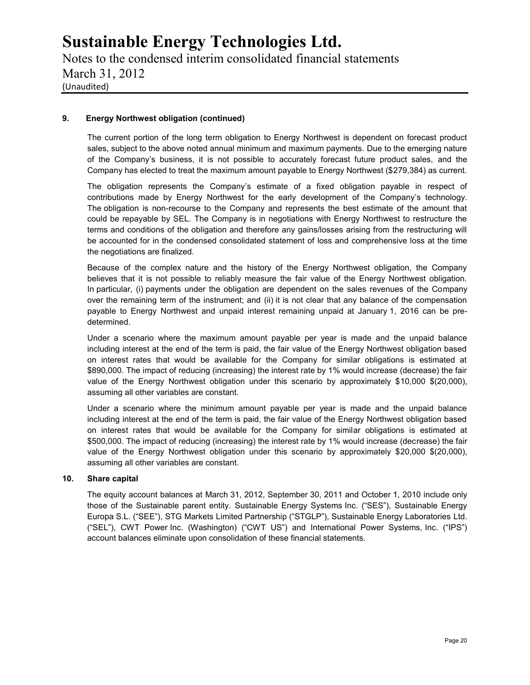Notes to the condensed interim consolidated financial statements March 31, 2012 (Unaudited)

#### **9. Energy Northwest obligation (continued)**

The current portion of the long term obligation to Energy Northwest is dependent on forecast product sales, subject to the above noted annual minimum and maximum payments. Due to the emerging nature of the Company's business, it is not possible to accurately forecast future product sales, and the Company has elected to treat the maximum amount payable to Energy Northwest (\$279,384) as current.

The obligation represents the Company's estimate of a fixed obligation payable in respect of contributions made by Energy Northwest for the early development of the Company's technology. The obligation is non-recourse to the Company and represents the best estimate of the amount that could be repayable by SEL. The Company is in negotiations with Energy Northwest to restructure the terms and conditions of the obligation and therefore any gains/losses arising from the restructuring will be accounted for in the condensed consolidated statement of loss and comprehensive loss at the time the negotiations are finalized.

Because of the complex nature and the history of the Energy Northwest obligation, the Company believes that it is not possible to reliably measure the fair value of the Energy Northwest obligation. In particular, (i) payments under the obligation are dependent on the sales revenues of the Company over the remaining term of the instrument; and (ii) it is not clear that any balance of the compensation payable to Energy Northwest and unpaid interest remaining unpaid at January 1, 2016 can be pre determined.

Under a scenario where the maximum amount payable per year is made and the unpaid balance including interest at the end of the term is paid, the fair value of the Energy Northwest obligation based on interest rates that would be available for the Company for similar obligations is estimated at \$890,000. The impact of reducing (increasing) the interest rate by 1% would increase (decrease) the fair value of the Energy Northwest obligation under this scenario by approximately \$10,000 \$(20,000), assuming all other variables are constant.

Under a scenario where the minimum amount payable per year is made and the unpaid balance including interest at the end of the term is paid, the fair value of the Energy Northwest obligation based on interest rates that would be available for the Company for similar obligations is estimated at \$500,000. The impact of reducing (increasing) the interest rate by 1% would increase (decrease) the fair value of the Energy Northwest obligation under this scenario by approximately \$20,000 \$(20,000), assuming all other variables are constant.

#### **10. Share capital**

The equity account balances at March 31, 2012, September 30, 2011 and October 1, 2010 include only those of the Sustainable parent entity. Sustainable Energy Systems Inc. ("SES"), Sustainable Energy Europa S.L. ("SEE"), STG Markets Limited Partnership ("STGLP"), Sustainable Energy Laboratories Ltd. ("SEL"), CWT Power Inc. (Washington) ("CWT US") and International Power Systems, Inc. ("IPS") account balances eliminate upon consolidation of these financial statements.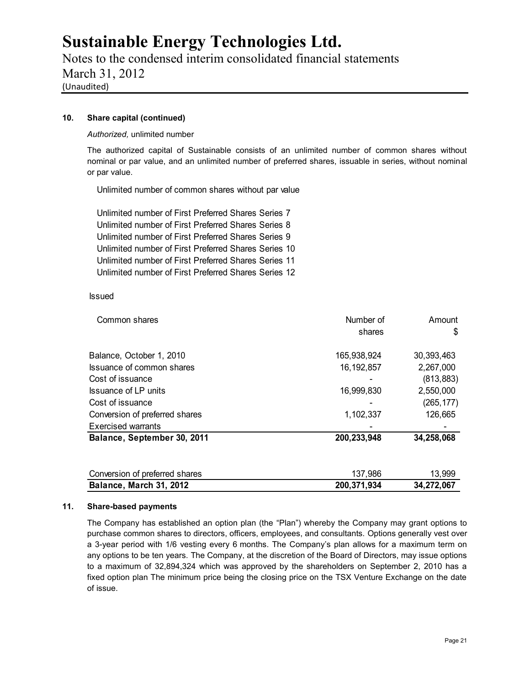Notes to the condensed interim consolidated financial statements March 31, 2012 (Unaudited)

#### **10. Share capital (continued)**

*Authorized,* unlimited number

The authorized capital of Sustainable consists of an unlimited number of common shares without nominal or par value, and an unlimited number of preferred shares, issuable in series, without nominal or par value.

Unlimited number of common shares without par value

Unlimited number of First Preferred Shares Series 7 Unlimited number of First Preferred Shares Series 8 Unlimited number of First Preferred Shares Series 9 Unlimited number of First Preferred Shares Series 10 Unlimited number of First Preferred Shares Series 11 Unlimited number of First Preferred Shares Series 12

#### Issued

| Common shares                  | Number of    | Amount     |
|--------------------------------|--------------|------------|
|                                | shares       | \$         |
| Balance, October 1, 2010       | 165,938,924  | 30,393,463 |
| Issuance of common shares      | 16, 192, 857 | 2,267,000  |
| Cost of issuance               |              | (813, 883) |
| <b>Issuance of LP units</b>    | 16,999,830   | 2,550,000  |
| Cost of issuance               |              | (265, 177) |
| Conversion of preferred shares | 1,102,337    | 126,665    |
| <b>Exercised warrants</b>      |              |            |
| Balance, September 30, 2011    | 200,233,948  | 34,258,068 |
| Conversion of preferred shares | 137,986      | 13,999     |
| Balance, March 31, 2012        | 200,371,934  | 34,272,067 |

#### **11. Share-based payments**

The Company has established an option plan (the "Plan") whereby the Company may grant options to purchase common shares to directors, officers, employees, and consultants. Options generally vest over a 3-year period with 1/6 vesting every 6 months. The Company's plan allows for a maximum term on any options to be ten years. The Company, at the discretion of the Board of Directors, may issue options to a maximum of 32,894,324 which was approved by the shareholders on September 2, 2010 has a fixed option plan The minimum price being the closing price on the TSX Venture Exchange on the date of issue.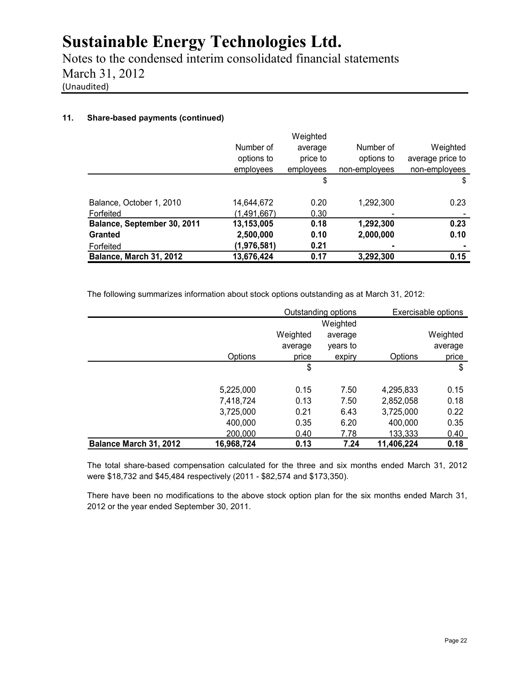Notes to the condensed interim consolidated financial statements March 31, 2012 (Unaudited)

### **11. Share-based payments (continued)**

|                             |             | Weighted  |               |                  |
|-----------------------------|-------------|-----------|---------------|------------------|
|                             | Number of   | average   | Number of     | Weighted         |
|                             | options to  | price to  | options to    | average price to |
|                             | employees   | employees | non-employees | non-employees    |
|                             |             | \$        |               | \$               |
| Balance, October 1, 2010    | 14,644,672  | 0.20      | 1,292,300     | 0.23             |
| Forfeited                   | (1,491,667) | 0.30      |               |                  |
| Balance, September 30, 2011 | 13,153,005  | 0.18      | 1,292,300     | 0.23             |
| Granted                     | 2,500,000   | 0.10      | 2,000,000     | 0.10             |
| Forfeited                   | (1,976,581) | 0.21      |               |                  |
| Balance, March 31, 2012     | 13,676,424  | 0.17      | 3,292,300     | 0.15             |

The following summarizes information about stock options outstanding as at March 31, 2012:

| Balance March 31, 2012 | 16,968,724 | 0.13     | 7.24                | 11,406,224 | 0.18                |  |
|------------------------|------------|----------|---------------------|------------|---------------------|--|
|                        | 200,000    | 0.40     | 7.78                | 133,333    | 0.40                |  |
|                        | 400,000    | 0.35     | 6.20                | 400,000    | 0.35                |  |
|                        | 3,725,000  | 0.21     | 6.43                | 3,725,000  | 0.22                |  |
|                        | 7,418,724  | 0.13     | 7.50                | 2,852,058  | 0.18                |  |
|                        | 5,225,000  | 0.15     | 7.50                | 4,295,833  | 0.15                |  |
|                        |            | \$       |                     |            | \$                  |  |
|                        | Options    | price    | expiry              | Options    | price               |  |
|                        |            | average  | years to            |            | average             |  |
|                        |            | Weighted | average             |            | Weighted            |  |
|                        |            |          | Weighted            |            |                     |  |
|                        |            |          | Outstanding options |            | Exercisable options |  |

The total share-based compensation calculated for the three and six months ended March 31, 2012 were \$18,732 and \$45,484 respectively (2011 - \$82,574 and \$173,350).

There have been no modifications to the above stock option plan for the six months ended March 31, 2012 or the year ended September 30, 2011.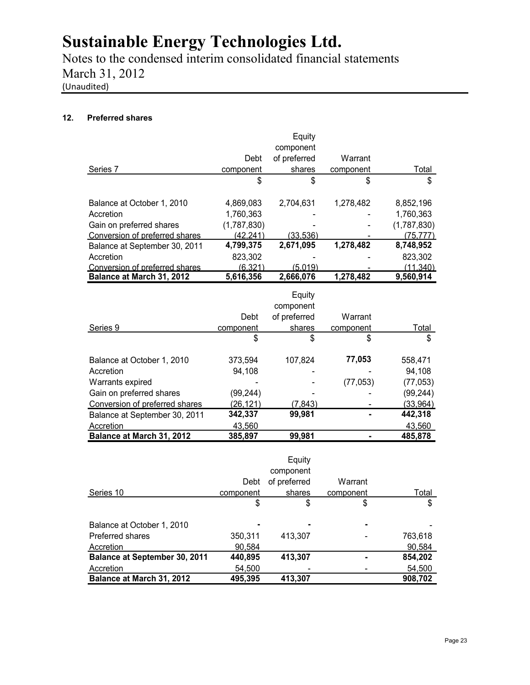Notes to the condensed interim consolidated financial statements March 31, 2012 (Unaudited)

### **12. Preferred shares**

|                                |             | Equity       |           |             |
|--------------------------------|-------------|--------------|-----------|-------------|
|                                |             | component    |           |             |
|                                | Debt        | of preferred | Warrant   |             |
| Series 7                       | component   | shares       | component | Total       |
|                                | \$          | \$           | \$        | \$          |
| Balance at October 1, 2010     | 4,869,083   | 2,704,631    | 1,278,482 | 8,852,196   |
| Accretion                      | 1,760,363   |              |           | 1,760,363   |
| Gain on preferred shares       | (1,787,830) |              |           | (1,787,830) |
| Conversion of preferred shares | (42,241)    | (33,536)     |           | (75, 777)   |
| Balance at September 30, 2011  | 4,799,375   | 2,671,095    | 1,278,482 | 8,748,952   |
| Accretion                      | 823,302     |              |           | 823,302     |
| Conversion of preferred shares | (6.321)     | (5.019)      |           | (11.340)    |
| Balance at March 31, 2012      | 5,616,356   | 2.666.076    | 1,278,482 | 9,560,914   |

|                                |           | Equity       |           |           |
|--------------------------------|-----------|--------------|-----------|-----------|
|                                |           | component    |           |           |
|                                | Debt      | of preferred | Warrant   |           |
| Series 9                       | component | shares       | component | Total     |
|                                | \$        | \$           | \$        | \$        |
| Balance at October 1, 2010     | 373,594   | 107,824      | 77,053    | 558,471   |
| Accretion                      | 94,108    |              |           | 94,108    |
| Warrants expired               |           |              | (77, 053) | (77, 053) |
| Gain on preferred shares       | (99,244)  |              |           | (99, 244) |
| Conversion of preferred shares | (26,121)  | (7, 843)     |           | (33,964)  |
| Balance at September 30, 2011  | 342,337   | 99,981       |           | 442,318   |
| Accretion                      | 43,560    |              |           | 43,560    |
| Balance at March 31, 2012      | 385,897   | 99,981       |           | 485,878   |

|                               |           | Equity       |           |         |
|-------------------------------|-----------|--------------|-----------|---------|
|                               |           | component    |           |         |
|                               | Debt      | of preferred | Warrant   |         |
| Series 10                     | component | shares       | component | Total   |
|                               | \$        | \$           | \$        | \$      |
| Balance at October 1, 2010    |           |              |           |         |
| Preferred shares              | 350,311   | 413,307      |           | 763,618 |
| Accretion                     | 90.584    |              |           | 90,584  |
| Balance at September 30, 2011 | 440,895   | 413,307      |           | 854,202 |
| Accretion                     | 54,500    |              |           | 54,500  |
| Balance at March 31, 2012     | 495,395   | 413,307      |           | 908,702 |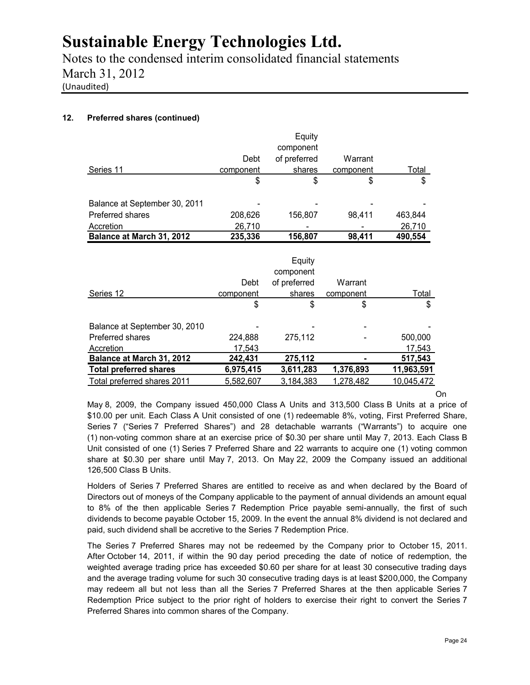Notes to the condensed interim consolidated financial statements March 31, 2012 (Unaudited)

### **12. Preferred shares (continued)**

|                                  |           | Equity       |           |              |
|----------------------------------|-----------|--------------|-----------|--------------|
|                                  |           | component    |           |              |
|                                  | Debt      | of preferred | Warrant   |              |
| Series 11                        | component | shares       | component | <u>Total</u> |
|                                  | \$        | \$           | \$        | \$           |
| Balance at September 30, 2011    |           |              |           |              |
| Preferred shares                 | 208,626   | 156,807      | 98,411    | 463,844      |
| <b>Accretion</b>                 | 26,710    |              |           | 26,710       |
| Balance at March 31, 2012        | 235,336   | 156,807      | 98,411    | 490,554      |
|                                  |           |              |           |              |
|                                  |           | Equity       |           |              |
|                                  |           | component    |           |              |
|                                  | Debt      | of preferred | Warrant   |              |
| Series 12                        | component | shares       | component | <u>Total</u> |
|                                  | \$        | \$           | \$        | \$           |
| Balance at September 30, 2010    |           |              |           |              |
| Preferred shares                 | 224,888   | 275,112      |           | 500,000      |
| Accretion                        | 17,543    |              |           | 17,543       |
| <b>Balance at March 31, 2012</b> | 242,431   | 275,112      |           | 517,543      |
| <b>Total preferred shares</b>    | 6,975,415 | 3,611,283    | 1,376,893 | 11,963,591   |
| Total preferred shares 2011      | 5,582,607 | 3,184,383    | 1,278,482 | 10,045,472   |

On

May 8, 2009, the Company issued 450,000 Class A Units and 313,500 Class B Units at a price of \$10.00 per unit. Each Class A Unit consisted of one (1) redeemable 8%, voting, First Preferred Share, Series 7 ("Series 7 Preferred Shares") and 28 detachable warrants ("Warrants") to acquire one (1) non-voting common share at an exercise price of \$0.30 per share until May 7, 2013. Each Class B Unit consisted of one (1) Series 7 Preferred Share and 22 warrants to acquire one (1) voting common share at \$0.30 per share until May 7, 2013. On May 22, 2009 the Company issued an additional 126,500 Class B Units.

Holders of Series 7 Preferred Shares are entitled to receive as and when declared by the Board of Directors out of moneys of the Company applicable to the payment of annual dividends an amount equal to 8% of the then applicable Series 7 Redemption Price payable semi-annually, the first of such dividends to become payable October 15, 2009. In the event the annual 8% dividend is not declared and paid, such dividend shall be accretive to the Series 7 Redemption Price.

The Series 7 Preferred Shares may not be redeemed by the Company prior to October 15, 2011. After October 14, 2011, if within the 90 day period preceding the date of notice of redemption, the weighted average trading price has exceeded \$0.60 per share for at least 30 consecutive trading days and the average trading volume for such 30 consecutive trading days is at least \$200,000, the Company may redeem all but not less than all the Series 7 Preferred Shares at the then applicable Series 7 Redemption Price subject to the prior right of holders to exercise their right to convert the Series 7 Preferred Shares into common shares of the Company.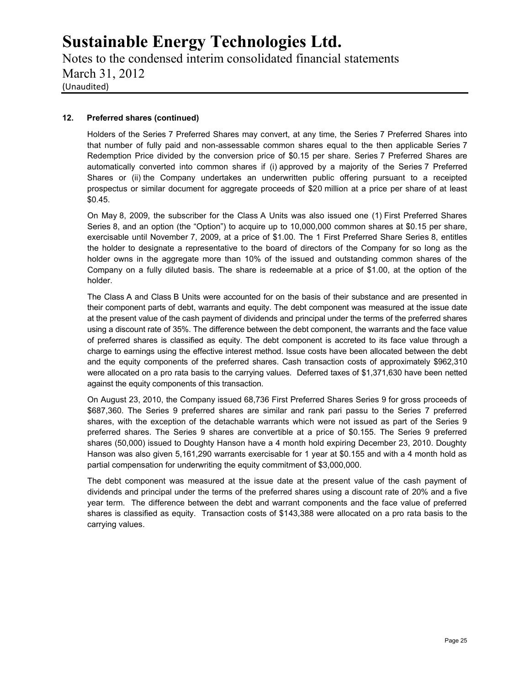Notes to the condensed interim consolidated financial statements March 31, 2012 (Unaudited)

#### **12. Preferred shares (continued)**

Holders of the Series 7 Preferred Shares may convert, at any time, the Series 7 Preferred Shares into that number of fully paid and non-assessable common shares equal to the then applicable Series 7 Redemption Price divided by the conversion price of \$0.15 per share. Series 7 Preferred Shares are automatically converted into common shares if (i) approved by a majority of the Series 7 Preferred Shares or (ii) the Company undertakes an underwritten public offering pursuant to a receipted prospectus or similar document for aggregate proceeds of \$20 million at a price per share of at least \$0.45.

On May 8, 2009, the subscriber for the Class A Units was also issued one (1) First Preferred Shares Series 8, and an option (the "Option") to acquire up to 10,000,000 common shares at \$0.15 per share, exercisable until November 7, 2009, at a price of \$1.00. The 1 First Preferred Share Series 8, entitles the holder to designate a representative to the board of directors of the Company for so long as the holder owns in the aggregate more than 10% of the issued and outstanding common shares of the Company on a fully diluted basis. The share is redeemable at a price of \$1.00, at the option of the holder.

The Class A and Class B Units were accounted for on the basis of their substance and are presented in their component parts of debt, warrants and equity. The debt component was measured at the issue date at the present value of the cash payment of dividends and principal under the terms of the preferred shares using a discount rate of 35%. The difference between the debt component, the warrants and the face value of preferred shares is classified as equity. The debt component is accreted to its face value through a charge to earnings using the effective interest method. Issue costs have been allocated between the debt and the equity components of the preferred shares. Cash transaction costs of approximately \$962,310 were allocated on a pro rata basis to the carrying values. Deferred taxes of \$1,371,630 have been netted against the equity components of this transaction.

On August 23, 2010, the Company issued 68,736 First Preferred Shares Series 9 for gross proceeds of \$687,360. The Series 9 preferred shares are similar and rank pari passu to the Series 7 preferred shares, with the exception of the detachable warrants which were not issued as part of the Series 9 preferred shares. The Series 9 shares are convertible at a price of \$0.155. The Series 9 preferred shares (50,000) issued to Doughty Hanson have a 4 month hold expiring December 23, 2010. Doughty Hanson was also given 5,161,290 warrants exercisable for 1 year at \$0.155 and with a 4 month hold as partial compensation for underwriting the equity commitment of \$3,000,000.

The debt component was measured at the issue date at the present value of the cash payment of dividends and principal under the terms of the preferred shares using a discount rate of 20% and a five year term. The difference between the debt and warrant components and the face value of preferred shares is classified as equity. Transaction costs of \$143,388 were allocated on a pro rata basis to the carrying values.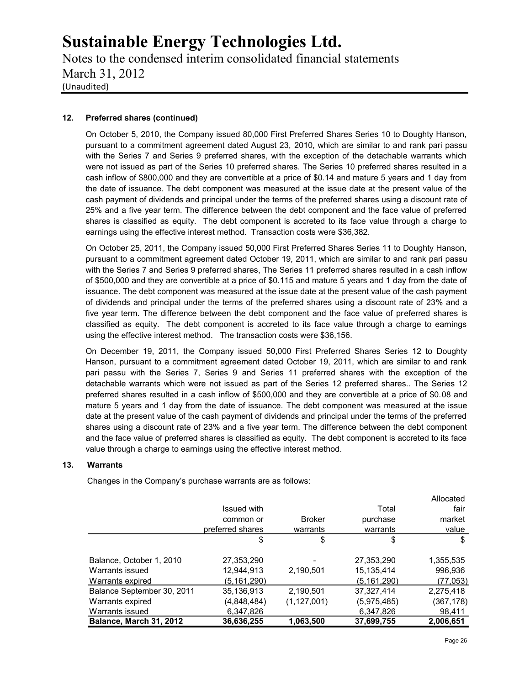Notes to the condensed interim consolidated financial statements March 31, 2012 (Unaudited)

### **12. Preferred shares (continued)**

On October 5, 2010, the Company issued 80,000 First Preferred Shares Series 10 to Doughty Hanson, pursuant to a commitment agreement dated August 23, 2010, which are similar to and rank pari passu with the Series 7 and Series 9 preferred shares, with the exception of the detachable warrants which were not issued as part of the Series 10 preferred shares. The Series 10 preferred shares resulted in a cash inflow of \$800,000 and they are convertible at a price of \$0.14 and mature 5 years and 1 day from the date of issuance. The debt component was measured at the issue date at the present value of the cash payment of dividends and principal under the terms of the preferred shares using a discount rate of 25% and a five year term. The difference between the debt component and the face value of preferred shares is classified as equity. The debt component is accreted to its face value through a charge to earnings using the effective interest method. Transaction costs were \$36,382.

On October 25, 2011, the Company issued 50,000 First Preferred Shares Series 11 to Doughty Hanson, pursuant to a commitment agreement dated October 19, 2011, which are similar to and rank pari passu with the Series 7 and Series 9 preferred shares, The Series 11 preferred shares resulted in a cash inflow of \$500,000 and they are convertible at a price of \$0.115 and mature 5 years and 1 day from the date of issuance. The debt component was measured at the issue date at the present value of the cash payment of dividends and principal under the terms of the preferred shares using a discount rate of 23% and a five year term. The difference between the debt component and the face value of preferred shares is classified as equity. The debt component is accreted to its face value through a charge to earnings using the effective interest method. The transaction costs were \$36,156.

On December 19, 2011, the Company issued 50,000 First Preferred Shares Series 12 to Doughty Hanson, pursuant to a commitment agreement dated October 19, 2011, which are similar to and rank pari passu with the Series 7, Series 9 and Series 11 preferred shares with the exception of the detachable warrants which were not issued as part of the Series 12 preferred shares.. The Series 12 preferred shares resulted in a cash inflow of \$500,000 and they are convertible at a price of \$0.08 and mature 5 years and 1 day from the date of issuance. The debt component was measured at the issue date at the present value of the cash payment of dividends and principal under the terms of the preferred shares using a discount rate of 23% and a five year term. The difference between the debt component and the face value of preferred shares is classified as equity. The debt component is accreted to its face value through a charge to earnings using the effective interest method.

#### **13. Warrants**

Changes in the Company's purchase warrants are as follows:

|                            |                  |               |               | Allocated  |
|----------------------------|------------------|---------------|---------------|------------|
|                            | Issued with      |               | Total         | fair       |
|                            | common or        | <b>Broker</b> | purchase      | market     |
|                            | preferred shares | warrants      | warrants      | value      |
|                            | \$               | \$            | \$            | \$         |
| Balance, October 1, 2010   | 27,353,290       |               | 27,353,290    | 1,355,535  |
| Warrants issued            | 12,944,913       | 2,190,501     | 15,135,414    | 996,936    |
| Warrants expired           | (5, 161, 290)    |               | (5, 161, 290) | (77,053)   |
| Balance September 30, 2011 | 35,136,913       | 2,190,501     | 37,327,414    | 2,275,418  |
| Warrants expired           | (4,848,484)      | (1, 127, 001) | (5,975,485)   | (367, 178) |
| Warrants issued            | 6,347,826        |               | 6,347,826     | 98,411     |
| Balance, March 31, 2012    | 36,636,255       | 1,063,500     | 37,699,755    | 2,006,651  |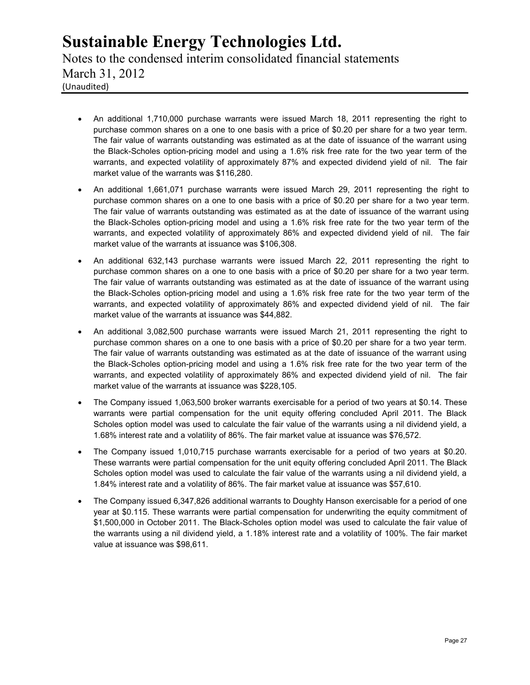Notes to the condensed interim consolidated financial statements March 31, 2012 (Unaudited)

- An additional 1,710,000 purchase warrants were issued March 18, 2011 representing the right to purchase common shares on a one to one basis with a price of \$0.20 per share for a two year term. The fair value of warrants outstanding was estimated as at the date of issuance of the warrant using the Black-Scholes option-pricing model and using a 1.6% risk free rate for the two year term of the warrants, and expected volatility of approximately 87% and expected dividend yield of nil. The fair market value of the warrants was \$116,280.
- An additional 1,661,071 purchase warrants were issued March 29, 2011 representing the right to purchase common shares on a one to one basis with a price of \$0.20 per share for a two year term. The fair value of warrants outstanding was estimated as at the date of issuance of the warrant using the Black-Scholes option-pricing model and using a 1.6% risk free rate for the two year term of the warrants, and expected volatility of approximately 86% and expected dividend yield of nil. The fair market value of the warrants at issuance was \$106,308.
- An additional 632,143 purchase warrants were issued March 22, 2011 representing the right to purchase common shares on a one to one basis with a price of \$0.20 per share for a two year term. The fair value of warrants outstanding was estimated as at the date of issuance of the warrant using the Black-Scholes option-pricing model and using a 1.6% risk free rate for the two year term of the warrants, and expected volatility of approximately 86% and expected dividend yield of nil. The fair market value of the warrants at issuance was \$44,882.
- An additional 3,082,500 purchase warrants were issued March 21, 2011 representing the right to purchase common shares on a one to one basis with a price of \$0.20 per share for a two year term. The fair value of warrants outstanding was estimated as at the date of issuance of the warrant using the Black-Scholes option-pricing model and using a 1.6% risk free rate for the two year term of the warrants, and expected volatility of approximately 86% and expected dividend yield of nil. The fair market value of the warrants at issuance was \$228,105.
- The Company issued 1,063,500 broker warrants exercisable for a period of two years at \$0.14. These warrants were partial compensation for the unit equity offering concluded April 2011. The Black Scholes option model was used to calculate the fair value of the warrants using a nil dividend yield, a 1.68% interest rate and a volatility of 86%. The fair market value at issuance was \$76,572.
- The Company issued 1,010,715 purchase warrants exercisable for a period of two years at \$0.20. These warrants were partial compensation for the unit equity offering concluded April 2011. The Black Scholes option model was used to calculate the fair value of the warrants using a nil dividend yield, a 1.84% interest rate and a volatility of 86%. The fair market value at issuance was \$57,610.
- The Company issued 6,347,826 additional warrants to Doughty Hanson exercisable for a period of one year at \$0.115. These warrants were partial compensation for underwriting the equity commitment of \$1,500,000 in October 2011. The Black-Scholes option model was used to calculate the fair value of the warrants using a nil dividend yield, a 1.18% interest rate and a volatility of 100%. The fair market value at issuance was \$98,611.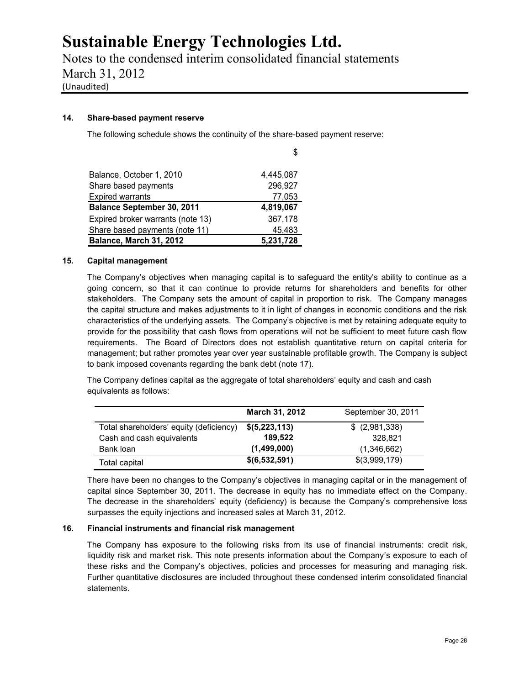Notes to the condensed interim consolidated financial statements March 31, 2012 (Unaudited)

#### **14. Share-based payment reserve**

The following schedule shows the continuity of the share-based payment reserve:

|                                   | S         |
|-----------------------------------|-----------|
|                                   |           |
| Balance, October 1, 2010          | 4,445,087 |
| Share based payments              | 296,927   |
| <b>Expired warrants</b>           | 77,053    |
| <b>Balance September 30, 2011</b> | 4,819,067 |
| Expired broker warrants (note 13) | 367,178   |
| Share based payments (note 11)    | 45,483    |
| Balance, March 31, 2012           | 5,231,728 |

#### **15. Capital management**

The Company's objectives when managing capital is to safeguard the entity's ability to continue as a going concern, so that it can continue to provide returns for shareholders and benefits for other stakeholders. The Company sets the amount of capital in proportion to risk. The Company manages the capital structure and makes adjustments to it in light of changes in economic conditions and the risk characteristics of the underlying assets. The Company's objective is met by retaining adequate equity to provide for the possibility that cash flows from operations will not be sufficient to meet future cash flow requirements. The Board of Directors does not establish quantitative return on capital criteria for management; but rather promotes year over year sustainable profitable growth. The Company is subject to bank imposed covenants regarding the bank debt (note 17).

The Company defines capital as the aggregate of total shareholders' equity and cash and cash equivalents as follows:

|                                         | March 31, 2012 | September 30, 2011 |
|-----------------------------------------|----------------|--------------------|
| Total shareholders' equity (deficiency) | \$ (5,223,113) | \$ (2,981,338)     |
| Cash and cash equivalents               | 189.522        | 328.821            |
| Bank loan                               | (1,499,000)    | (1,346,662)        |
| Total capital                           | \$(6,532,591)  | \$(3,999,179)      |

There have been no changes to the Company's objectives in managing capital or in the management of capital since September 30, 2011. The decrease in equity has no immediate effect on the Company. The decrease in the shareholders' equity (deficiency) is because the Company's comprehensive loss surpasses the equity injections and increased sales at March 31, 2012.

### **16. Financial instruments and financial risk management**

The Company has exposure to the following risks from its use of financial instruments: credit risk, liquidity risk and market risk. This note presents information about the Company's exposure to each of these risks and the Company's objectives, policies and processes for measuring and managing risk. Further quantitative disclosures are included throughout these condensed interim consolidated financial statements.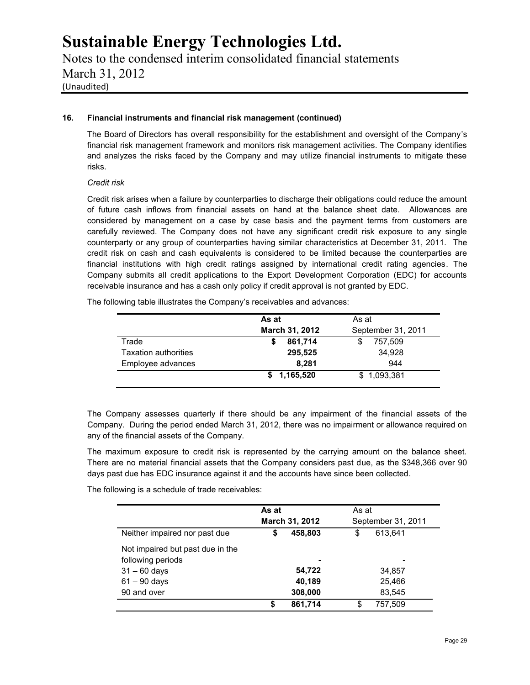Notes to the condensed interim consolidated financial statements March 31, 2012 (Unaudited)

#### **16. Financial instruments and financial risk management (continued)**

The Board of Directors has overall responsibility for the establishment and oversight of the Company's financial risk management framework and monitors risk management activities. The Company identifies and analyzes the risks faced by the Company and may utilize financial instruments to mitigate these risks.

#### *Credit risk*

Credit risk arises when a failure by counterparties to discharge their obligations could reduce the amount of future cash inflows from financial assets on hand at the balance sheet date. Allowances are considered by management on a case by case basis and the payment terms from customers are carefully reviewed. The Company does not have any significant credit risk exposure to any single counterparty or any group of counterparties having similar characteristics at December 31, 2011. The credit risk on cash and cash equivalents is considered to be limited because the counterparties are financial institutions with high credit ratings assigned by international credit rating agencies. The Company submits all credit applications to the Export Development Corporation (EDC) for accounts receivable insurance and has a cash only policy if credit approval is not granted by EDC.

The following table illustrates the Company's receivables and advances:

|                      | As at          | As at              |
|----------------------|----------------|--------------------|
|                      | March 31, 2012 | September 31, 2011 |
| Trade                | 861,714<br>S   | 757,509            |
| Taxation authorities | 295,525        | 34,928             |
| Employee advances    | 8.281          | 944                |
|                      | \$1,165,520    | \$1,093,381        |

The Company assesses quarterly if there should be any impairment of the financial assets of the Company. During the period ended March 31, 2012, there was no impairment or allowance required on any of the financial assets of the Company.

The maximum exposure to credit risk is represented by the carrying amount on the balance sheet. There are no material financial assets that the Company considers past due, as the \$348,366 over 90 days past due has EDC insurance against it and the accounts have since been collected.

The following is a schedule of trade receivables:

|                                  | As at         | March 31, 2012 | As at    | September 31, 2011 |
|----------------------------------|---------------|----------------|----------|--------------------|
| Neither impaired nor past due    | 458,803<br>\$ |                | \$       | 613.641            |
| Not impaired but past due in the |               |                |          |                    |
| following periods                |               | $\blacksquare$ |          | -                  |
| $31 - 60$ days                   |               | 54,722         |          | 34,857             |
| $61 - 90$ days                   |               | 40,189         |          | 25,466             |
| 90 and over                      |               | 308,000        |          | 83,545             |
|                                  | S             | 861,714        | <u>ፍ</u> | 757,509            |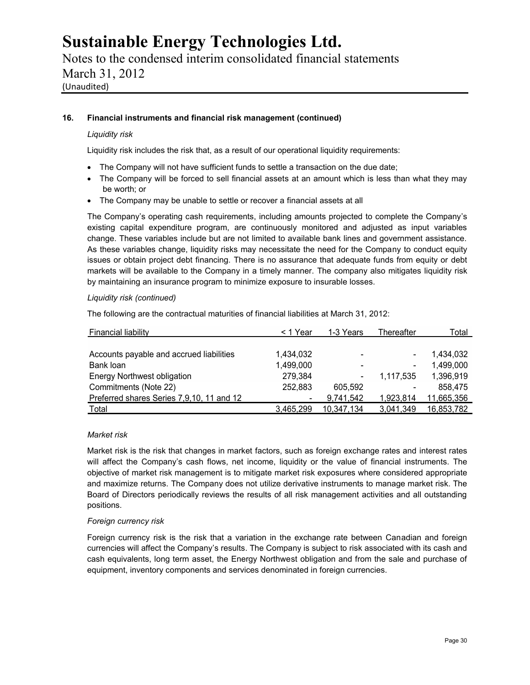Notes to the condensed interim consolidated financial statements March 31, 2012 (Unaudited)

#### **16. Financial instruments and financial risk management (continued)**

#### *Liquidity risk*

Liquidity risk includes the risk that, as a result of our operational liquidity requirements:

- The Company will not have sufficient funds to settle a transaction on the due date;
- The Company will be forced to sell financial assets at an amount which is less than what they may be worth; or
- The Company may be unable to settle or recover a financial assets at all

The Company's operating cash requirements, including amounts projected to complete the Company's existing capital expenditure program, are continuously monitored and adjusted as input variables change. These variables include but are not limited to available bank lines and government assistance. As these variables change, liquidity risks may necessitate the need for the Company to conduct equity issues or obtain project debt financing. There is no assurance that adequate funds from equity or debt markets will be available to the Company in a timely manner. The company also mitigates liquidity risk by maintaining an insurance program to minimize exposure to insurable losses.

#### *Liquidity risk (continued)*

The following are the contractual maturities of financial liabilities at March 31, 2012:

| Financial liability                       | < 1 Year       | 1-3 Years      | Thereafter      | Total      |  |
|-------------------------------------------|----------------|----------------|-----------------|------------|--|
|                                           |                |                |                 |            |  |
| Accounts payable and accrued liabilities  | 1,434,032      |                |                 | 1,434,032  |  |
| Bank loan                                 | 1,499,000      |                | $\qquad \qquad$ | 1,499,000  |  |
| <b>Energy Northwest obligation</b>        | 279,384        | $\blacksquare$ | 1.117.535       | 1,396,919  |  |
| Commitments (Note 22)                     | 252,883        | 605.592        |                 | 858,475    |  |
| Preferred shares Series 7,9,10, 11 and 12 | $\blacksquare$ | 9,741,542      | 1,923,814       | 11,665,356 |  |
| Total                                     | 3.465.299      | 10.347.134     | 3.041.349       | 16,853,782 |  |

#### *Market risk*

Market risk is the risk that changes in market factors, such as foreign exchange rates and interest rates will affect the Company's cash flows, net income, liquidity or the value of financial instruments. The objective of market risk management is to mitigate market risk exposures where considered appropriate and maximize returns. The Company does not utilize derivative instruments to manage market risk. The Board of Directors periodically reviews the results of all risk management activities and all outstanding positions.

#### *Foreign currency risk*

Foreign currency risk is the risk that a variation in the exchange rate between Canadian and foreign currencies will affect the Company's results. The Company is subject to risk associated with its cash and cash equivalents, long term asset, the Energy Northwest obligation and from the sale and purchase of equipment, inventory components and services denominated in foreign currencies.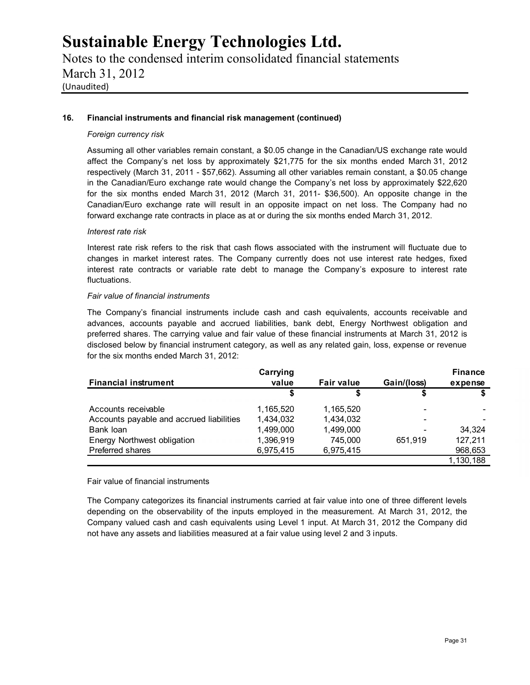Notes to the condensed interim consolidated financial statements March 31, 2012 (Unaudited)

#### **16. Financial instruments and financial risk management (continued)**

#### *Foreign currency risk*

Assuming all other variables remain constant, a \$0.05 change in the Canadian/US exchange rate would affect the Company's net loss by approximately \$21,775 for the six months ended March 31, 2012 respectively (March 31, 2011 - \$57,662). Assuming all other variables remain constant, a \$0.05 change in the Canadian/Euro exchange rate would change the Company's net loss by approximately \$22,620 for the six months ended March 31, 2012 (March 31, 2011- \$36,500). An opposite change in the Canadian/Euro exchange rate will result in an opposite impact on net loss. The Company had no forward exchange rate contracts in place as at or during the six months ended March 31, 2012.

#### *Interest rate risk*

Interest rate risk refers to the risk that cash flows associated with the instrument will fluctuate due to changes in market interest rates. The Company currently does not use interest rate hedges, fixed interest rate contracts or variable rate debt to manage the Company's exposure to interest rate fluctuations.

#### *Fair value of financial instruments*

The Company's financial instruments include cash and cash equivalents, accounts receivable and advances, accounts payable and accrued liabilities, bank debt, Energy Northwest obligation and preferred shares. The carrying value and fair value of these financial instruments at March 31, 2012 is disclosed below by financial instrument category, as well as any related gain, loss, expense or revenue for the six months ended March 31, 2012:

|                                          | Carrying  |                   |             | <b>Finance</b> |
|------------------------------------------|-----------|-------------------|-------------|----------------|
| <b>Financial instrument</b>              | value     | <b>Fair value</b> | Gain/(loss) | expense        |
|                                          |           | S                 |             |                |
| Accounts receivable                      | 1,165,520 | 1.165.520         |             |                |
| Accounts payable and accrued liabilities | 1.434.032 | 1,434,032         |             |                |
| Bank loan                                | 1,499,000 | 1,499,000         |             | 34,324         |
| Energy Northwest obligation              | 1,396,919 | 745.000           | 651.919     | 127,211        |
| Preferred shares                         | 6,975,415 | 6,975,415         |             | 968,653        |
|                                          |           |                   |             | 1,130,188      |

#### Fair value of financial instruments

The Company categorizes its financial instruments carried at fair value into one of three different levels depending on the observability of the inputs employed in the measurement. At March 31, 2012, the Company valued cash and cash equivalents using Level 1 input. At March 31, 2012 the Company did not have any assets and liabilities measured at a fair value using level 2 and 3 inputs.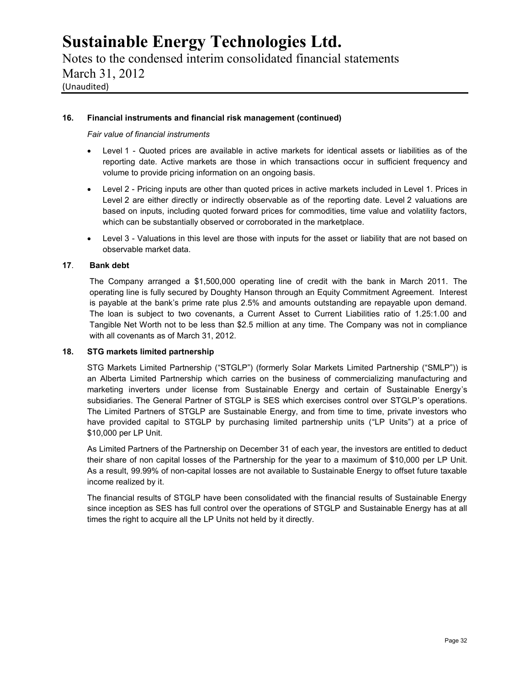Notes to the condensed interim consolidated financial statements March 31, 2012 (Unaudited)

#### **16. Financial instruments and financial risk management (continued)**

*Fair value of financial instruments*

- Level 1 Quoted prices are available in active markets for identical assets or liabilities as of the reporting date. Active markets are those in which transactions occur in sufficient frequency and volume to provide pricing information on an ongoing basis.
- Level 2 Pricing inputs are other than quoted prices in active markets included in Level 1. Prices in Level 2 are either directly or indirectly observable as of the reporting date. Level 2 valuations are based on inputs, including quoted forward prices for commodities, time value and volatility factors, which can be substantially observed or corroborated in the marketplace.
- Level 3 Valuations in this level are those with inputs for the asset or liability that are not based on observable market data.

#### **17**. **Bank debt**

The Company arranged a \$1,500,000 operating line of credit with the bank in March 2011. The operating line is fully secured by Doughty Hanson through an Equity Commitment Agreement. Interest is payable at the bank's prime rate plus 2.5% and amounts outstanding are repayable upon demand. The loan is subject to two covenants, a Current Asset to Current Liabilities ratio of 1.25:1.00 and Tangible Net Worth not to be less than \$2.5 million at any time. The Company was not in compliance with all covenants as of March 31, 2012.

#### **18. STG markets limited partnership**

STG Markets Limited Partnership ("STGLP") (formerly Solar Markets Limited Partnership ("SMLP")) is an Alberta Limited Partnership which carries on the business of commercializing manufacturing and marketing inverters under license from Sustainable Energy and certain of Sustainable Energy's subsidiaries. The General Partner of STGLP is SES which exercises control over STGLP's operations. The Limited Partners of STGLP are Sustainable Energy, and from time to time, private investors who have provided capital to STGLP by purchasing limited partnership units ("LP Units") at a price of \$10,000 per LP Unit.

As Limited Partners of the Partnership on December 31 of each year, the investors are entitled to deduct their share of non capital losses of the Partnership for the year to a maximum of \$10,000 per LP Unit. As a result, 99.99% of non-capital losses are not available to Sustainable Energy to offset future taxable income realized by it.

The financial results of STGLP have been consolidated with the financial results of Sustainable Energy since inception as SES has full control over the operations of STGLP and Sustainable Energy has at all times the right to acquire all the LP Units not held by it directly.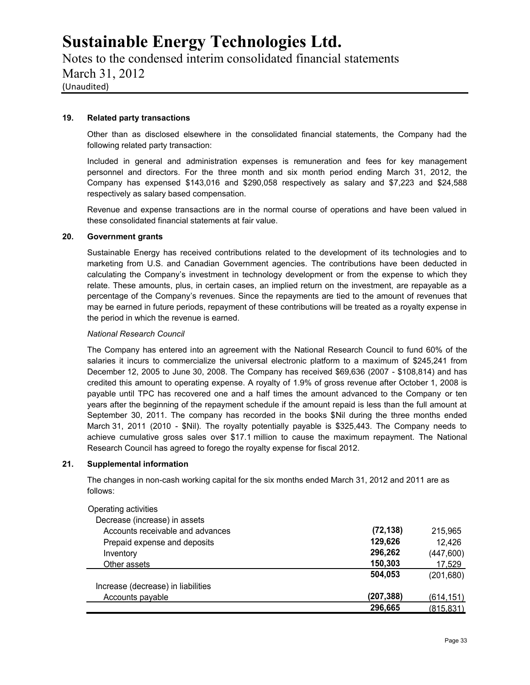### Notes to the condensed interim consolidated financial statements March 31, 2012 (Unaudited)

#### **19. Related party transactions**

Other than as disclosed elsewhere in the consolidated financial statements, the Company had the following related party transaction:

Included in general and administration expenses is remuneration and fees for key management personnel and directors. For the three month and six month period ending March 31, 2012, the Company has expensed \$143,016 and \$290,058 respectively as salary and \$7,223 and \$24,588 respectively as salary based compensation.

Revenue and expense transactions are in the normal course of operations and have been valued in these consolidated financial statements at fair value.

#### **20. Government grants**

Sustainable Energy has received contributions related to the development of its technologies and to marketing from U.S. and Canadian Government agencies. The contributions have been deducted in calculating the Company's investment in technology development or from the expense to which they relate. These amounts, plus, in certain cases, an implied return on the investment, are repayable as a percentage of the Company's revenues. Since the repayments are tied to the amount of revenues that may be earned in future periods, repayment of these contributions will be treated as a royalty expense in the period in which the revenue is earned.

#### *National Research Council*

The Company has entered into an agreement with the National Research Council to fund 60% of the salaries it incurs to commercialize the universal electronic platform to a maximum of \$245,241 from December 12, 2005 to June 30, 2008. The Company has received \$69,636 (2007 - \$108,814) and has credited this amount to operating expense. A royalty of 1.9% of gross revenue after October 1, 2008 is payable until TPC has recovered one and a half times the amount advanced to the Company or ten years after the beginning of the repayment schedule if the amount repaid is less than the full amount at September 30, 2011. The company has recorded in the books \$Nil during the three months ended March 31, 2011 (2010 - \$Nil). The royalty potentially payable is \$325,443. The Company needs to achieve cumulative gross sales over \$17.1 million to cause the maximum repayment. The National Research Council has agreed to forego the royalty expense for fiscal 2012.

#### **21. Supplemental information**

The changes in non-cash working capital for the six months ended March 31, 2012 and 2011 are as follows:

| Operating activities               |            |            |
|------------------------------------|------------|------------|
| Decrease (increase) in assets      |            |            |
| Accounts receivable and advances   | (72, 138)  | 215.965    |
| Prepaid expense and deposits       | 129,626    | 12,426     |
| Inventory                          | 296,262    | (447, 600) |
| Other assets                       | 150,303    | 17,529     |
|                                    | 504,053    | (201, 680) |
| Increase (decrease) in liabilities |            |            |
| Accounts payable                   | (207, 388) | (614, 151) |
|                                    | 296,665    | (815, 831) |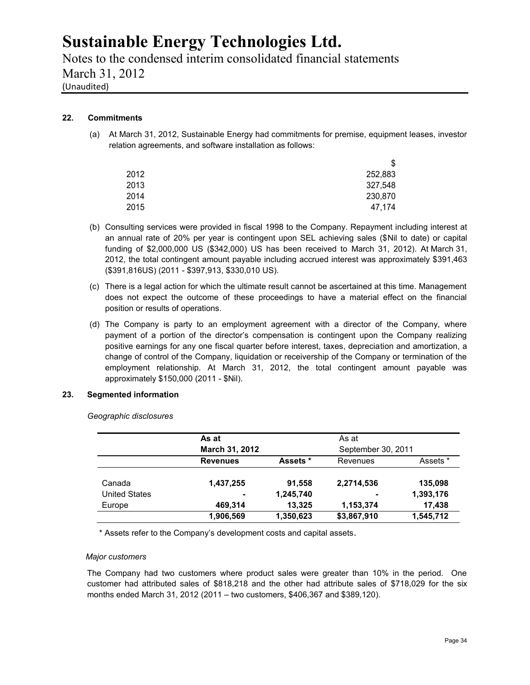Notes to the condensed interim consolidated financial statements March 31, 2012

(Unaudited)

### **22. Commitments**

(a) At March 31, 2012, Sustainable Energy had commitments for premise, equipment leases, investor relation agreements, and software installation as follows:

| \$      |  |
|---------|--|
| 252,883 |  |
| 327,548 |  |
| 230,870 |  |
| 47,174  |  |
|         |  |

- (b) Consulting services were provided in fiscal 1998 to the Company. Repayment including interest at an annual rate of 20% per year is contingent upon SEL achieving sales (\$Nil to date) or capital funding of \$2,000,000 US (\$342,000) US has been received to March 31, 2012). At March 31, 2012, the total contingent amount payable including accrued interest was approximately \$391,463 (\$391,816US) (2011 - \$397,913, \$330,010 US).
- (c) There is a legal action for which the ultimate result cannot be ascertained at this time. Management does not expect the outcome of these proceedings to have a material effect on the financial position or results of operations.
- (d) The Company is party to an employment agreement with a director of the Company, where payment of a portion of the director's compensation is contingent upon the Company realizing positive earnings for any one fiscal quarter before interest, taxes, depreciation and amortization, a change of control of the Company, liquidation or receivership of the Company or termination of the employment relationship. At March 31, 2012, the total contingent amount payable was approximately \$150,000 (2011 - \$Nil).

#### **23. Segmented information**

*Geographic disclosures*

|                      | As at           |           | As at              |           |  |
|----------------------|-----------------|-----------|--------------------|-----------|--|
|                      | March 31, 2012  |           | September 30, 2011 |           |  |
|                      | <b>Revenues</b> | Assets *  | Revenues           | Assets *  |  |
| Canada               | 1,437,255       | 91,558    | 2,2714,536         | 135.098   |  |
| <b>United States</b> | ٠               | 1,245,740 | $\blacksquare$     | 1,393,176 |  |
| Europe               | 469.314         | 13.325    | 1,153,374          | 17,438    |  |
|                      | 1,906,569       | 1,350,623 | \$3,867,910        | 1,545,712 |  |

\* Assets refer to the Company's development costs and capital assets.

#### *Major customers*

The Company had two customers where product sales were greater than 10% in the period. One customer had attributed sales of \$818,218 and the other had attribute sales of \$718,029 for the six months ended March 31, 2012 (2011 – two customers, \$406,367 and \$389,120).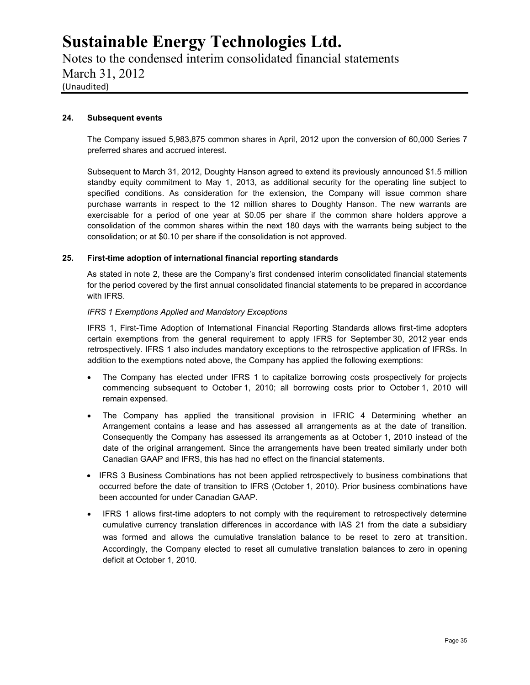Notes to the condensed interim consolidated financial statements March 31, 2012 (Unaudited)

#### **24. Subsequent events**

The Company issued 5,983,875 common shares in April, 2012 upon the conversion of 60,000 Series 7 preferred shares and accrued interest.

Subsequent to March 31, 2012, Doughty Hanson agreed to extend its previously announced \$1.5 million standby equity commitment to May 1, 2013, as additional security for the operating line subject to specified conditions. As consideration for the extension, the Company will issue common share purchase warrants in respect to the 12 million shares to Doughty Hanson. The new warrants are exercisable for a period of one year at \$0.05 per share if the common share holders approve a consolidation of the common shares within the next 180 days with the warrants being subject to the consolidation; or at \$0.10 per share if the consolidation is not approved.

#### **25. First-time adoption of international financial reporting standards**

As stated in note 2, these are the Company's first condensed interim consolidated financial statements for the period covered by the first annual consolidated financial statements to be prepared in accordance with IFRS.

#### *IFRS 1 Exemptions Applied and Mandatory Exceptions*

IFRS 1, First-Time Adoption of International Financial Reporting Standards allows first-time adopters certain exemptions from the general requirement to apply IFRS for September 30, 2012 year ends retrospectively. IFRS 1 also includes mandatory exceptions to the retrospective application of IFRSs. In addition to the exemptions noted above, the Company has applied the following exemptions:

- The Company has elected under IFRS 1 to capitalize borrowing costs prospectively for projects commencing subsequent to October 1, 2010; all borrowing costs prior to October 1, 2010 will remain expensed.
- The Company has applied the transitional provision in IFRIC 4 Determining whether an Arrangement contains a lease and has assessed all arrangements as at the date of transition. Consequently the Company has assessed its arrangements as at October 1, 2010 instead of the date of the original arrangement. Since the arrangements have been treated similarly under both Canadian GAAP and IFRS, this has had no effect on the financial statements.
- IFRS 3 Business Combinations has not been applied retrospectively to business combinations that occurred before the date of transition to IFRS (October 1, 2010). Prior business combinations have been accounted for under Canadian GAAP.
- IFRS 1 allows first-time adopters to not comply with the requirement to retrospectively determine cumulative currency translation differences in accordance with IAS 21 from the date a subsidiary was formed and allows the cumulative translation balance to be reset to zero at transition. Accordingly, the Company elected to reset all cumulative translation balances to zero in opening deficit at October 1, 2010.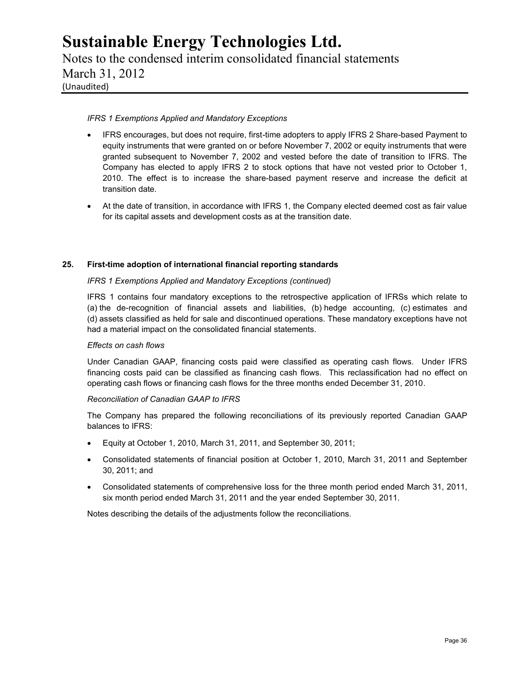Notes to the condensed interim consolidated financial statements March 31, 2012 (Unaudited)

#### *IFRS 1 Exemptions Applied and Mandatory Exceptions*

- IFRS encourages, but does not require, first-time adopters to apply IFRS 2 Share-based Payment to equity instruments that were granted on or before November 7, 2002 or equity instruments that were granted subsequent to November 7, 2002 and vested before the date of transition to IFRS. The Company has elected to apply IFRS 2 to stock options that have not vested prior to October 1, 2010. The effect is to increase the share-based payment reserve and increase the deficit at transition date.
- At the date of transition, in accordance with IFRS 1, the Company elected deemed cost as fair value for its capital assets and development costs as at the transition date.

#### **25. First-time adoption of international financial reporting standards**

#### *IFRS 1 Exemptions Applied and Mandatory Exceptions (continued)*

IFRS 1 contains four mandatory exceptions to the retrospective application of IFRSs which relate to (a) the de-recognition of financial assets and liabilities, (b) hedge accounting, (c) estimates and (d) assets classified as held for sale and discontinued operations. These mandatory exceptions have not had a material impact on the consolidated financial statements.

#### *Effects on cash flows*

Under Canadian GAAP, financing costs paid were classified as operating cash flows. Under IFRS financing costs paid can be classified as financing cash flows. This reclassification had no effect on operating cash flows or financing cash flows for the three months ended December 31, 2010.

#### *Reconciliation of Canadian GAAP to IFRS*

The Company has prepared the following reconciliations of its previously reported Canadian GAAP balances to IFRS:

- Equity at October 1, 2010, March 31, 2011, and September 30, 2011;
- Consolidated statements of financial position at October 1, 2010, March 31, 2011 and September 30, 2011; and
- Consolidated statements of comprehensive loss for the three month period ended March 31, 2011, six month period ended March 31, 2011 and the year ended September 30, 2011.

Notes describing the details of the adjustments follow the reconciliations.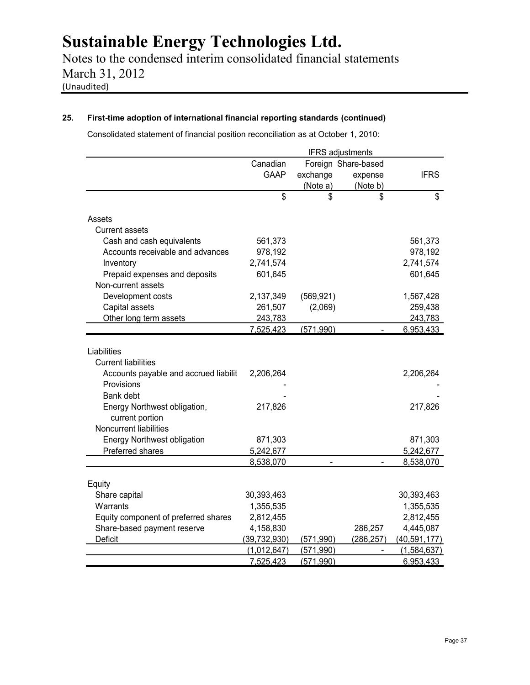Notes to the condensed interim consolidated financial statements March 31, 2012 (Unaudited)

### **25. First-time adoption of international financial reporting standards (continued)**

Consolidated statement of financial position reconciliation as at October 1, 2010:

|                                                                                                |                | <b>IFRS</b> adjustments |                     |                |
|------------------------------------------------------------------------------------------------|----------------|-------------------------|---------------------|----------------|
|                                                                                                | Canadian       |                         | Foreign Share-based |                |
|                                                                                                | <b>GAAP</b>    | exchange                | expense             | <b>IFRS</b>    |
|                                                                                                |                | (Note a)                | (Note b)            |                |
|                                                                                                | \$             | \$                      | \$                  | \$             |
| Assets                                                                                         |                |                         |                     |                |
| Current assets                                                                                 |                |                         |                     |                |
| Cash and cash equivalents                                                                      | 561,373        |                         |                     | 561,373        |
| Accounts receivable and advances                                                               | 978,192        |                         |                     | 978,192        |
| Inventory                                                                                      | 2,741,574      |                         |                     | 2,741,574      |
| Prepaid expenses and deposits                                                                  | 601,645        |                         |                     | 601,645        |
| Non-current assets                                                                             |                |                         |                     |                |
| Development costs                                                                              | 2,137,349      | (569, 921)              |                     | 1,567,428      |
| Capital assets                                                                                 | 261,507        | (2,069)                 |                     | 259,438        |
| Other long term assets                                                                         | 243,783        |                         |                     | 243,783        |
|                                                                                                | 7,525,423      | (571,990)               |                     | 6,953,433      |
| <b>Current liabilities</b><br>Accounts payable and accrued liabilit<br>Provisions<br>Bank debt | 2,206,264      |                         |                     | 2,206,264      |
| Energy Northwest obligation,<br>current portion<br>Noncurrent liabilities                      | 217,826        |                         |                     | 217,826        |
| <b>Energy Northwest obligation</b>                                                             | 871,303        |                         |                     | 871,303        |
| Preferred shares                                                                               | 5,242,677      |                         |                     | 5,242,677      |
|                                                                                                | 8,538,070      |                         |                     | 8,538,070      |
| Equity                                                                                         |                |                         |                     |                |
| Share capital                                                                                  | 30,393,463     |                         |                     | 30,393,463     |
| Warrants                                                                                       | 1,355,535      |                         |                     | 1,355,535      |
| Equity component of preferred shares                                                           | 2,812,455      |                         |                     | 2,812,455      |
| Share-based payment reserve                                                                    | 4,158,830      |                         | 286,257             | 4,445,087      |
| Deficit                                                                                        | (39, 732, 930) | (571,990)               | (286, 257)          | (40, 591, 177) |
|                                                                                                | (1,012,647)    | (571, 990)              |                     | (1,584,637)    |
|                                                                                                | 7,525,423      | (571,990)               |                     | 6,953,433      |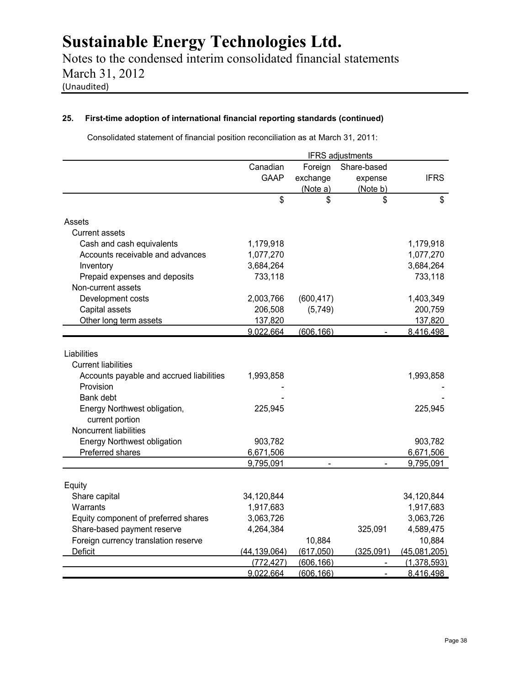Notes to the condensed interim consolidated financial statements March 31, 2012 (Unaudited)

### **25. First-time adoption of international financial reporting standards (continued)**

Consolidated statement of financial position reconciliation as at March 31, 2011:

|                                          |                |            | <b>IFRS</b> adjustments |              |
|------------------------------------------|----------------|------------|-------------------------|--------------|
|                                          | Canadian       | Foreign    | Share-based             |              |
|                                          | <b>GAAP</b>    | exchange   | expense                 | <b>IFRS</b>  |
|                                          |                | (Note a)   | (Note b)                |              |
|                                          | \$             | \$         | \$                      | \$           |
| Assets                                   |                |            |                         |              |
| <b>Current assets</b>                    |                |            |                         |              |
| Cash and cash equivalents                | 1,179,918      |            |                         | 1,179,918    |
| Accounts receivable and advances         | 1,077,270      |            |                         | 1,077,270    |
| Inventory                                | 3,684,264      |            |                         | 3,684,264    |
| Prepaid expenses and deposits            | 733,118        |            |                         | 733,118      |
| Non-current assets                       |                |            |                         |              |
| Development costs                        | 2,003,766      | (600, 417) |                         | 1,403,349    |
| Capital assets                           | 206,508        | (5,749)    |                         | 200,759      |
| Other long term assets                   | 137,820        |            |                         | 137,820      |
|                                          | 9,022,664      | (606, 166) |                         | 8,416,498    |
|                                          |                |            |                         |              |
| Liabilities                              |                |            |                         |              |
| <b>Current liabilities</b>               |                |            |                         |              |
| Accounts payable and accrued liabilities | 1,993,858      |            |                         | 1,993,858    |
| Provision                                |                |            |                         |              |
| Bank debt                                |                |            |                         |              |
| Energy Northwest obligation,             | 225,945        |            |                         | 225,945      |
| current portion                          |                |            |                         |              |
| Noncurrent liabilities                   |                |            |                         |              |
| <b>Energy Northwest obligation</b>       | 903,782        |            |                         | 903,782      |
| Preferred shares                         | 6,671,506      |            |                         | 6,671,506    |
|                                          | 9,795,091      |            |                         | 9,795,091    |
| Equity                                   |                |            |                         |              |
| Share capital                            | 34,120,844     |            |                         | 34,120,844   |
| Warrants                                 | 1,917,683      |            |                         | 1,917,683    |
| Equity component of preferred shares     | 3,063,726      |            |                         | 3,063,726    |
| Share-based payment reserve              | 4,264,384      |            | 325,091                 | 4,589,475    |
| Foreign currency translation reserve     |                | 10,884     |                         | 10,884       |
| Deficit                                  | (44, 139, 064) | (617,050)  | (325,091)               | (45,081,205) |
|                                          | (772, 427)     | (606, 166) |                         | (1,378,593)  |
|                                          | 9,022,664      | (606, 166) |                         | 8,416,498    |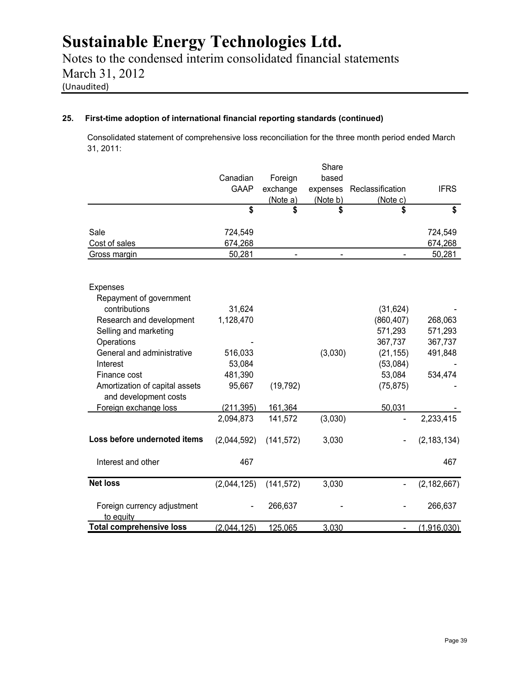Notes to the condensed interim consolidated financial statements March 31, 2012 (Unaudited)

### **25. First-time adoption of international financial reporting standards (continued)**

Consolidated statement of comprehensive loss reconciliation for the three month period ended March 31, 2011:

|                                                         |             |            | Share    |                  |               |
|---------------------------------------------------------|-------------|------------|----------|------------------|---------------|
|                                                         | Canadian    | Foreign    | based    |                  |               |
|                                                         | <b>GAAP</b> | exchange   | expenses | Reclassification | <b>IFRS</b>   |
|                                                         |             | (Note a)   | (Note b) | (Note c)         |               |
|                                                         | \$          | \$         | \$       | \$               | \$            |
| Sale                                                    | 724,549     |            |          |                  | 724,549       |
| Cost of sales                                           | 674,268     |            |          |                  | 674,268       |
| Gross margin                                            | 50,281      |            |          |                  | 50,281        |
| Expenses                                                |             |            |          |                  |               |
| Repayment of government                                 |             |            |          |                  |               |
| contributions                                           | 31,624      |            |          | (31, 624)        |               |
| Research and development                                | 1,128,470   |            |          | (860, 407)       | 268,063       |
| Selling and marketing                                   |             |            |          | 571,293          | 571,293       |
| Operations                                              |             |            |          | 367,737          | 367,737       |
| General and administrative                              | 516,033     |            | (3,030)  | (21, 155)        | 491,848       |
| Interest                                                | 53,084      |            |          | (53,084)         |               |
| Finance cost                                            | 481,390     |            |          | 53,084           | 534,474       |
| Amortization of capital assets<br>and development costs | 95,667      | (19, 792)  |          | (75, 875)        |               |
| Foreign exchange loss                                   | (211, 395)  | 161,364    |          | 50,031           |               |
|                                                         | 2,094,873   | 141,572    | (3,030)  | L,               | 2,233,415     |
| Loss before undernoted items                            | (2,044,592) | (141, 572) | 3,030    |                  | (2, 183, 134) |
| Interest and other                                      | 467         |            |          |                  | 467           |
| <b>Net loss</b>                                         | (2,044,125) | (141, 572) | 3,030    |                  | (2, 182, 667) |
| Foreign currency adjustment<br>to equity                |             | 266,637    |          |                  | 266,637       |
| <b>Total comprehensive loss</b>                         | (2,044,125) | 125,065    | 3,030    |                  | (1,916,030)   |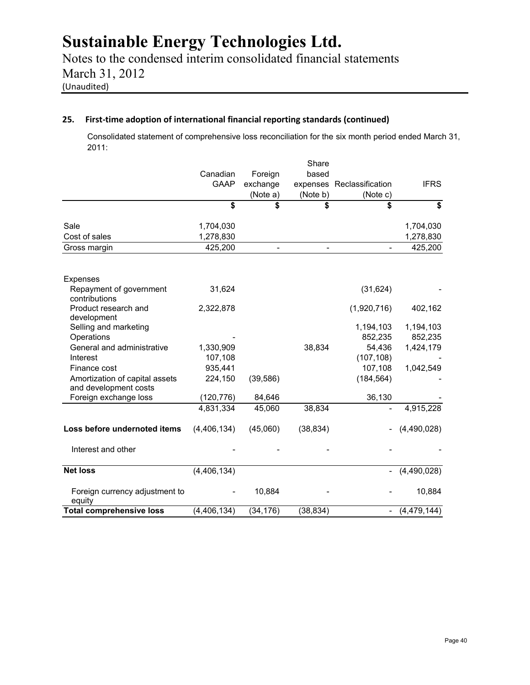Notes to the condensed interim consolidated financial statements March 31, 2012 (Unaudited)

### **25. First-time adoption of international financial reporting standards (continued)**

Consolidated statement of comprehensive loss reconciliation for the six month period ended March 31, 2011:

|                                                         |               |                          | Share                    |                          |               |
|---------------------------------------------------------|---------------|--------------------------|--------------------------|--------------------------|---------------|
|                                                         | Canadian      | Foreign                  | based                    |                          |               |
|                                                         | <b>GAAP</b>   | exchange                 | expenses                 | Reclassification         | <b>IFRS</b>   |
|                                                         |               | (Note a)                 | (Note b)                 | (Note c)                 |               |
|                                                         | \$            | \$                       | \$                       | \$                       | \$            |
| Sale                                                    | 1,704,030     |                          |                          |                          | 1,704,030     |
| Cost of sales                                           | 1,278,830     |                          |                          |                          | 1,278,830     |
| Gross margin                                            | 425,200       | $\overline{\phantom{0}}$ | $\overline{\phantom{m}}$ |                          | 425,200       |
| Expenses                                                |               |                          |                          |                          |               |
| Repayment of government<br>contributions                | 31,624        |                          |                          | (31, 624)                |               |
| Product research and<br>development                     | 2,322,878     |                          |                          | (1,920,716)              | 402,162       |
| Selling and marketing                                   |               |                          |                          | 1,194,103                | 1,194,103     |
| Operations                                              |               |                          |                          | 852,235                  | 852,235       |
| General and administrative                              | 1,330,909     |                          | 38,834                   | 54,436                   | 1,424,179     |
| Interest                                                | 107,108       |                          |                          | (107, 108)               |               |
| Finance cost                                            | 935,441       |                          |                          | 107,108                  | 1,042,549     |
| Amortization of capital assets<br>and development costs | 224,150       | (39, 586)                |                          | (184, 564)               |               |
| Foreign exchange loss                                   | (120, 776)    | 84,646                   |                          | 36,130                   |               |
|                                                         | 4,831,334     | 45,060                   | 38,834                   |                          | 4,915,228     |
| Loss before undernoted items                            | (4, 406, 134) | (45,060)                 | (38, 834)                |                          | (4,490,028)   |
| Interest and other                                      |               |                          |                          |                          |               |
| <b>Net loss</b>                                         | (4, 406, 134) |                          |                          |                          | (4,490,028)   |
| Foreign currency adjustment to<br>equity                |               | 10,884                   |                          |                          | 10,884        |
| <b>Total comprehensive loss</b>                         | (4, 406, 134) | (34, 176)                | (38, 834)                | $\overline{\phantom{a}}$ | (4, 479, 144) |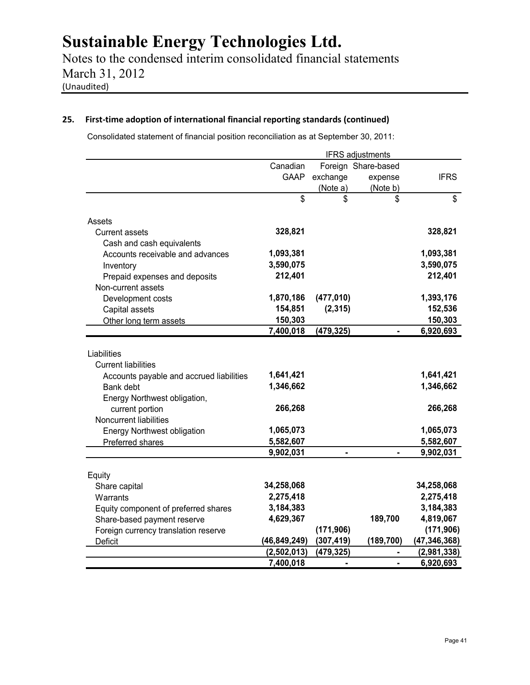Notes to the condensed interim consolidated financial statements March 31, 2012 (Unaudited)

### **25. First-time adoption of international financial reporting standards (continued)**

Consolidated statement of financial position reconciliation as at September 30, 2011:

|                                                                                                                                                                                                                            |                                                                          |                              | <b>IFRS</b> adjustments |                                                                          |
|----------------------------------------------------------------------------------------------------------------------------------------------------------------------------------------------------------------------------|--------------------------------------------------------------------------|------------------------------|-------------------------|--------------------------------------------------------------------------|
|                                                                                                                                                                                                                            | Canadian                                                                 |                              | Foreign Share-based     |                                                                          |
|                                                                                                                                                                                                                            | <b>GAAP</b>                                                              | exchange                     | expense                 | <b>IFRS</b>                                                              |
|                                                                                                                                                                                                                            |                                                                          | (Note a)                     | (Note b)                |                                                                          |
|                                                                                                                                                                                                                            | $\mathbf{\hat{s}}$                                                       | \$                           | \$                      | \$                                                                       |
| Assets                                                                                                                                                                                                                     |                                                                          |                              |                         |                                                                          |
| <b>Current assets</b>                                                                                                                                                                                                      | 328,821                                                                  |                              |                         | 328,821                                                                  |
| Cash and cash equivalents                                                                                                                                                                                                  |                                                                          |                              |                         |                                                                          |
| Accounts receivable and advances                                                                                                                                                                                           | 1,093,381                                                                |                              |                         | 1,093,381                                                                |
| Inventory                                                                                                                                                                                                                  | 3,590,075                                                                |                              |                         | 3,590,075                                                                |
| Prepaid expenses and deposits                                                                                                                                                                                              | 212,401                                                                  |                              |                         | 212,401                                                                  |
| Non-current assets                                                                                                                                                                                                         |                                                                          |                              |                         |                                                                          |
| Development costs                                                                                                                                                                                                          | 1,870,186                                                                | (477, 010)                   |                         | 1,393,176                                                                |
| Capital assets                                                                                                                                                                                                             | 154,851                                                                  | (2, 315)                     |                         | 152,536                                                                  |
| Other long term assets                                                                                                                                                                                                     | 150,303                                                                  |                              |                         | 150,303                                                                  |
|                                                                                                                                                                                                                            | 7,400,018                                                                | (479, 325)                   |                         | 6,920,693                                                                |
| <b>Current liabilities</b><br>Accounts payable and accrued liabilities<br>Bank debt<br>Energy Northwest obligation,<br>current portion<br>Noncurrent liabilities<br><b>Energy Northwest obligation</b><br>Preferred shares | 1,641,421<br>1,346,662<br>266,268<br>1,065,073<br>5,582,607<br>9,902,031 | $\qquad \qquad \blacksquare$ |                         | 1,641,421<br>1,346,662<br>266,268<br>1,065,073<br>5,582,607<br>9,902,031 |
|                                                                                                                                                                                                                            |                                                                          |                              |                         |                                                                          |
| Equity                                                                                                                                                                                                                     |                                                                          |                              |                         |                                                                          |
| Share capital                                                                                                                                                                                                              | 34,258,068                                                               |                              |                         | 34,258,068                                                               |
| Warrants                                                                                                                                                                                                                   | 2,275,418                                                                |                              |                         | 2,275,418                                                                |
| Equity component of preferred shares                                                                                                                                                                                       | 3,184,383                                                                |                              |                         | 3,184,383                                                                |
| Share-based payment reserve                                                                                                                                                                                                | 4,629,367                                                                |                              | 189,700                 | 4,819,067                                                                |
| Foreign currency translation reserve                                                                                                                                                                                       |                                                                          | (171, 906)                   |                         | (171, 906)                                                               |
| Deficit                                                                                                                                                                                                                    | (46, 849, 249)                                                           | (307, 419)                   | (189, 700)              | (47, 346, 368)                                                           |
|                                                                                                                                                                                                                            | (2,502,013)                                                              | (479, 325)                   |                         | (2,981,338)                                                              |
|                                                                                                                                                                                                                            | 7,400,018                                                                | ۰                            |                         | 6,920,693                                                                |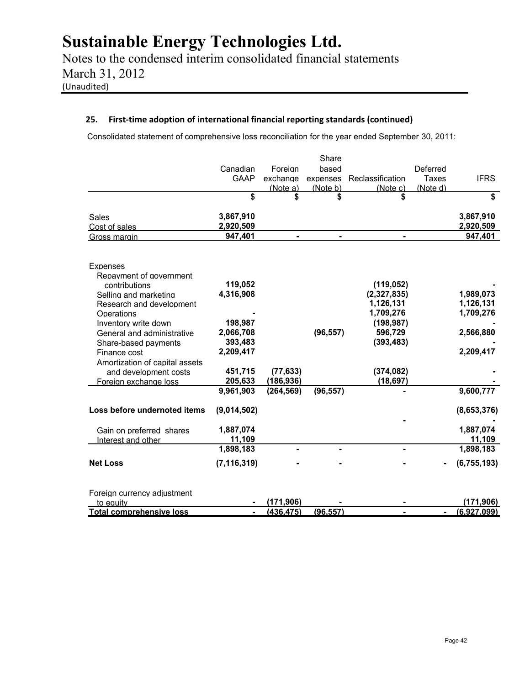Notes to the condensed interim consolidated financial statements March 31, 2012 (Unaudited)

### **25. First-time adoption of international financial reporting standards (continued)**

Consolidated statement of comprehensive loss reconciliation for the year ended September 30, 2011:

|                                 |               |            | Share     |                  |              |               |
|---------------------------------|---------------|------------|-----------|------------------|--------------|---------------|
|                                 | Canadian      | Foreign    | based     |                  | Deferred     |               |
|                                 | <b>GAAP</b>   | exchange   | expenses  | Reclassification | <b>Taxes</b> | <b>IFRS</b>   |
|                                 |               | (Note a)   | (Note b)  | (Note c)         | (Note d)     |               |
|                                 | \$            | \$         | \$        | \$               |              | \$            |
| Sales                           | 3,867,910     |            |           |                  |              | 3,867,910     |
| Cost of sales                   | 2,920,509     |            |           |                  |              | 2,920,509     |
| Gross margin                    | 947,401       |            |           |                  |              | 947,401       |
| <b>Expenses</b>                 |               |            |           |                  |              |               |
| Repayment of government         |               |            |           |                  |              |               |
| contributions                   | 119,052       |            |           | (119, 052)       |              |               |
| Selling and marketing           | 4,316,908     |            |           | (2,327,835)      |              | 1,989,073     |
| Research and development        |               |            |           | 1,126,131        |              | 1,126,131     |
| Operations                      |               |            |           | 1,709,276        |              | 1,709,276     |
| Inventory write down            | 198,987       |            |           | (198, 987)       |              |               |
| General and administrative      | 2,066,708     |            | (96, 557) | 596,729          |              | 2,566,880     |
| Share-based payments            | 393,483       |            |           | (393, 483)       |              |               |
| Finance cost                    | 2,209,417     |            |           |                  |              | 2,209,417     |
| Amortization of capital assets  |               |            |           |                  |              |               |
| and development costs           | 451,715       | (77, 633)  |           | (374, 082)       |              |               |
| Foreign exchange loss           | 205,633       | (186, 936) |           | (18, 697)        |              |               |
|                                 | 9,961,903     | (264, 569) | (96, 557) |                  |              | 9,600,777     |
| Loss before undernoted items    | (9,014,502)   |            |           |                  |              | (8,653,376)   |
| Gain on preferred shares        | 1,887,074     |            |           |                  |              | 1,887,074     |
| Interest and other              | 11,109        |            |           |                  |              | 11,109        |
|                                 | 1,898,183     |            |           |                  |              | 1,898,183     |
|                                 |               |            |           |                  |              |               |
| <b>Net Loss</b>                 | (7, 116, 319) |            |           |                  |              | (6, 755, 193) |
| Foreign currency adjustment     |               |            |           |                  |              |               |
| to equity                       |               | (171, 906) |           |                  |              | (171, 906)    |
| <b>Total comprehensive loss</b> |               | (436, 475) | (96, 557) |                  |              | (6,927,099)   |